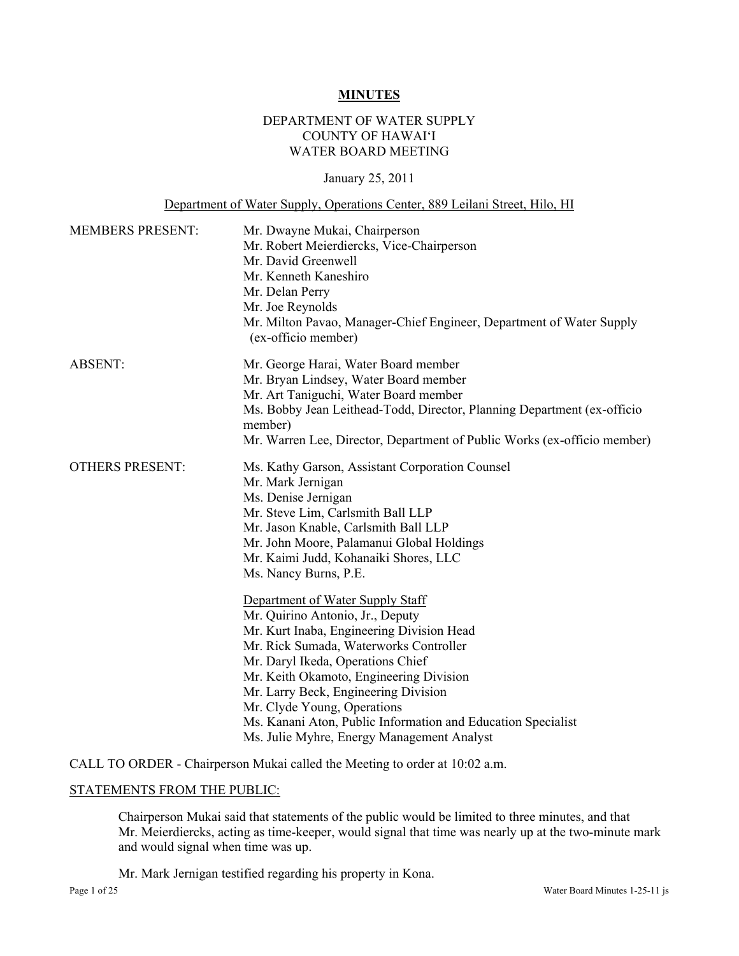#### **MINUTES**

# DEPARTMENT OF WATER SUPPLY COUNTY OF HAWAI'I WATER BOARD MEETING

### January 25, 2011

### Department of Water Supply, Operations Center, 889 Leilani Street, Hilo, HI

| <b>MEMBERS PRESENT:</b> | Mr. Dwayne Mukai, Chairperson                                                               |  |  |  |
|-------------------------|---------------------------------------------------------------------------------------------|--|--|--|
|                         | Mr. Robert Meierdiercks, Vice-Chairperson                                                   |  |  |  |
|                         | Mr. David Greenwell                                                                         |  |  |  |
|                         | Mr. Kenneth Kaneshiro                                                                       |  |  |  |
|                         | Mr. Delan Perry                                                                             |  |  |  |
|                         | Mr. Joe Reynolds                                                                            |  |  |  |
|                         | Mr. Milton Pavao, Manager-Chief Engineer, Department of Water Supply<br>(ex-officio member) |  |  |  |
| <b>ABSENT:</b>          | Mr. George Harai, Water Board member                                                        |  |  |  |
|                         | Mr. Bryan Lindsey, Water Board member                                                       |  |  |  |
|                         | Mr. Art Taniguchi, Water Board member                                                       |  |  |  |
|                         | Ms. Bobby Jean Leithead-Todd, Director, Planning Department (ex-officio<br>member)          |  |  |  |
|                         | Mr. Warren Lee, Director, Department of Public Works (ex-officio member)                    |  |  |  |
| <b>OTHERS PRESENT:</b>  | Ms. Kathy Garson, Assistant Corporation Counsel                                             |  |  |  |
|                         | Mr. Mark Jernigan                                                                           |  |  |  |
|                         | Ms. Denise Jernigan                                                                         |  |  |  |
|                         | Mr. Steve Lim, Carlsmith Ball LLP                                                           |  |  |  |
|                         | Mr. Jason Knable, Carlsmith Ball LLP                                                        |  |  |  |
|                         | Mr. John Moore, Palamanui Global Holdings                                                   |  |  |  |
|                         | Mr. Kaimi Judd, Kohanaiki Shores, LLC                                                       |  |  |  |
|                         | Ms. Nancy Burns, P.E.                                                                       |  |  |  |
|                         | Department of Water Supply Staff                                                            |  |  |  |
|                         | Mr. Quirino Antonio, Jr., Deputy                                                            |  |  |  |
|                         | Mr. Kurt Inaba, Engineering Division Head                                                   |  |  |  |
|                         | Mr. Rick Sumada, Waterworks Controller                                                      |  |  |  |
|                         | Mr. Daryl Ikeda, Operations Chief                                                           |  |  |  |
|                         | Mr. Keith Okamoto, Engineering Division                                                     |  |  |  |
|                         | Mr. Larry Beck, Engineering Division                                                        |  |  |  |
|                         | Mr. Clyde Young, Operations                                                                 |  |  |  |
|                         | Ms. Kanani Aton, Public Information and Education Specialist                                |  |  |  |
|                         | Ms. Julie Myhre, Energy Management Analyst                                                  |  |  |  |

CALL TO ORDER - Chairperson Mukai called the Meeting to order at 10:02 a.m.

#### STATEMENTS FROM THE PUBLIC:

Chairperson Mukai said that statements of the public would be limited to three minutes, and that Mr. Meierdiercks, acting as time-keeper, would signal that time was nearly up at the two-minute mark and would signal when time was up.

Mr. Mark Jernigan testified regarding his property in Kona.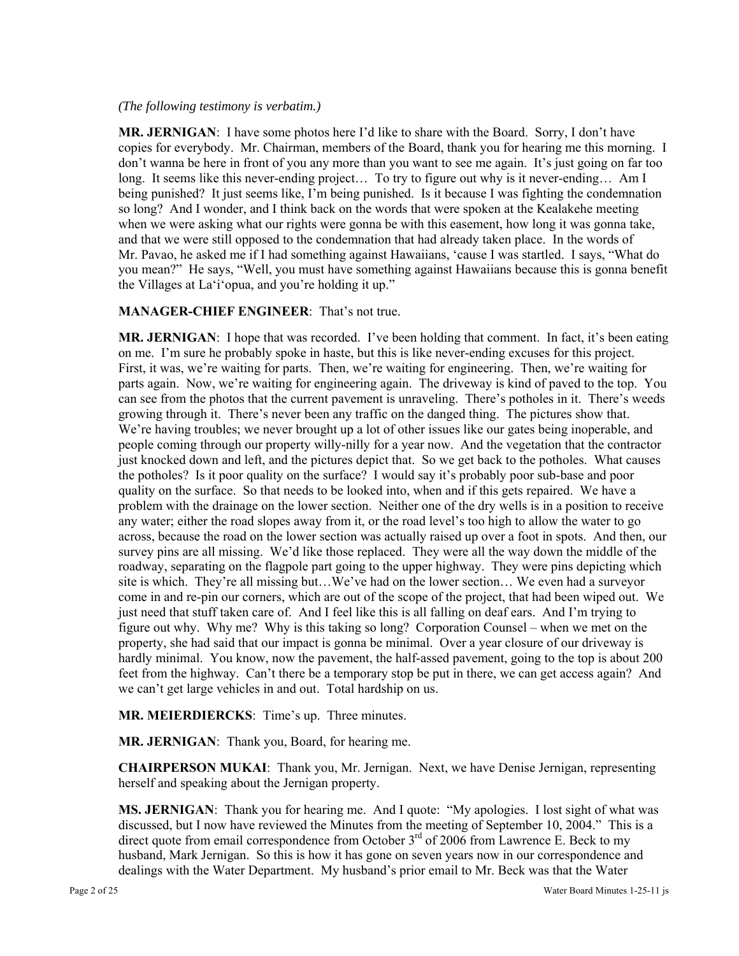### *(The following testimony is verbatim.)*

**MR. JERNIGAN**: I have some photos here I'd like to share with the Board. Sorry, I don't have copies for everybody. Mr. Chairman, members of the Board, thank you for hearing me this morning. I don't wanna be here in front of you any more than you want to see me again. It's just going on far too long. It seems like this never-ending project… To try to figure out why is it never-ending… Am I being punished? It just seems like, I'm being punished. Is it because I was fighting the condemnation so long? And I wonder, and I think back on the words that were spoken at the Kealakehe meeting when we were asking what our rights were gonna be with this easement, how long it was gonna take, and that we were still opposed to the condemnation that had already taken place. In the words of Mr. Pavao, he asked me if I had something against Hawaiians, 'cause I was startled. I says, "What do you mean?" He says, "Well, you must have something against Hawaiians because this is gonna benefit the Villages at La'i'opua, and you're holding it up."

### **MANAGER-CHIEF ENGINEER**: That's not true.

**MR. JERNIGAN**: I hope that was recorded. I've been holding that comment. In fact, it's been eating on me. I'm sure he probably spoke in haste, but this is like never-ending excuses for this project. First, it was, we're waiting for parts. Then, we're waiting for engineering. Then, we're waiting for parts again. Now, we're waiting for engineering again. The driveway is kind of paved to the top. You can see from the photos that the current pavement is unraveling. There's potholes in it. There's weeds growing through it. There's never been any traffic on the danged thing. The pictures show that. We're having troubles; we never brought up a lot of other issues like our gates being inoperable, and people coming through our property willy-nilly for a year now. And the vegetation that the contractor just knocked down and left, and the pictures depict that. So we get back to the potholes. What causes the potholes? Is it poor quality on the surface? I would say it's probably poor sub-base and poor quality on the surface. So that needs to be looked into, when and if this gets repaired. We have a problem with the drainage on the lower section. Neither one of the dry wells is in a position to receive any water; either the road slopes away from it, or the road level's too high to allow the water to go across, because the road on the lower section was actually raised up over a foot in spots. And then, our survey pins are all missing. We'd like those replaced. They were all the way down the middle of the roadway, separating on the flagpole part going to the upper highway. They were pins depicting which site is which. They're all missing but…We've had on the lower section… We even had a surveyor come in and re-pin our corners, which are out of the scope of the project, that had been wiped out. We just need that stuff taken care of. And I feel like this is all falling on deaf ears. And I'm trying to figure out why. Why me? Why is this taking so long? Corporation Counsel – when we met on the property, she had said that our impact is gonna be minimal. Over a year closure of our driveway is hardly minimal. You know, now the pavement, the half-assed pavement, going to the top is about 200 feet from the highway. Can't there be a temporary stop be put in there, we can get access again? And we can't get large vehicles in and out. Total hardship on us.

**MR. MEIERDIERCKS**: Time's up. Three minutes.

**MR. JERNIGAN**: Thank you, Board, for hearing me.

**CHAIRPERSON MUKAI**: Thank you, Mr. Jernigan. Next, we have Denise Jernigan, representing herself and speaking about the Jernigan property.

**MS. JERNIGAN**: Thank you for hearing me. And I quote: "My apologies. I lost sight of what was discussed, but I now have reviewed the Minutes from the meeting of September 10, 2004." This is a direct quote from email correspondence from October  $3<sup>rd</sup>$  of 2006 from Lawrence E. Beck to my husband, Mark Jernigan. So this is how it has gone on seven years now in our correspondence and dealings with the Water Department. My husband's prior email to Mr. Beck was that the Water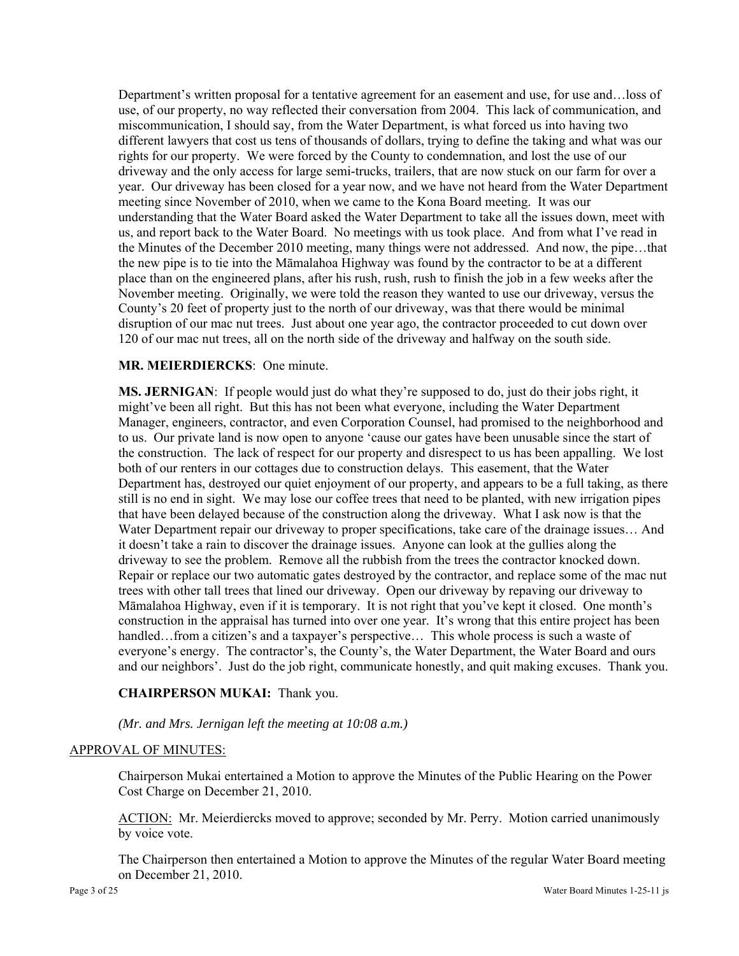Department's written proposal for a tentative agreement for an easement and use, for use and…loss of use, of our property, no way reflected their conversation from 2004. This lack of communication, and miscommunication, I should say, from the Water Department, is what forced us into having two different lawyers that cost us tens of thousands of dollars, trying to define the taking and what was our rights for our property. We were forced by the County to condemnation, and lost the use of our driveway and the only access for large semi-trucks, trailers, that are now stuck on our farm for over a year. Our driveway has been closed for a year now, and we have not heard from the Water Department meeting since November of 2010, when we came to the Kona Board meeting. It was our understanding that the Water Board asked the Water Department to take all the issues down, meet with us, and report back to the Water Board. No meetings with us took place. And from what I've read in the Minutes of the December 2010 meeting, many things were not addressed. And now, the pipe…that the new pipe is to tie into the Māmalahoa Highway was found by the contractor to be at a different place than on the engineered plans, after his rush, rush, rush to finish the job in a few weeks after the November meeting. Originally, we were told the reason they wanted to use our driveway, versus the County's 20 feet of property just to the north of our driveway, was that there would be minimal disruption of our mac nut trees. Just about one year ago, the contractor proceeded to cut down over 120 of our mac nut trees, all on the north side of the driveway and halfway on the south side.

### **MR. MEIERDIERCKS**: One minute.

**MS. JERNIGAN**: If people would just do what they're supposed to do, just do their jobs right, it might've been all right. But this has not been what everyone, including the Water Department Manager, engineers, contractor, and even Corporation Counsel, had promised to the neighborhood and to us. Our private land is now open to anyone 'cause our gates have been unusable since the start of the construction. The lack of respect for our property and disrespect to us has been appalling. We lost both of our renters in our cottages due to construction delays. This easement, that the Water Department has, destroyed our quiet enjoyment of our property, and appears to be a full taking, as there still is no end in sight. We may lose our coffee trees that need to be planted, with new irrigation pipes that have been delayed because of the construction along the driveway. What I ask now is that the Water Department repair our driveway to proper specifications, take care of the drainage issues… And it doesn't take a rain to discover the drainage issues. Anyone can look at the gullies along the driveway to see the problem. Remove all the rubbish from the trees the contractor knocked down. Repair or replace our two automatic gates destroyed by the contractor, and replace some of the mac nut trees with other tall trees that lined our driveway. Open our driveway by repaving our driveway to Māmalahoa Highway, even if it is temporary. It is not right that you've kept it closed. One month's construction in the appraisal has turned into over one year. It's wrong that this entire project has been handled…from a citizen's and a taxpayer's perspective… This whole process is such a waste of everyone's energy. The contractor's, the County's, the Water Department, the Water Board and ours and our neighbors'. Just do the job right, communicate honestly, and quit making excuses. Thank you.

# **CHAIRPERSON MUKAI:** Thank you.

### *(Mr. and Mrs. Jernigan left the meeting at 10:08 a.m.)*

### APPROVAL OF MINUTES:

Chairperson Mukai entertained a Motion to approve the Minutes of the Public Hearing on the Power Cost Charge on December 21, 2010.

ACTION: Mr. Meierdiercks moved to approve; seconded by Mr. Perry. Motion carried unanimously by voice vote.

The Chairperson then entertained a Motion to approve the Minutes of the regular Water Board meeting on December 21, 2010.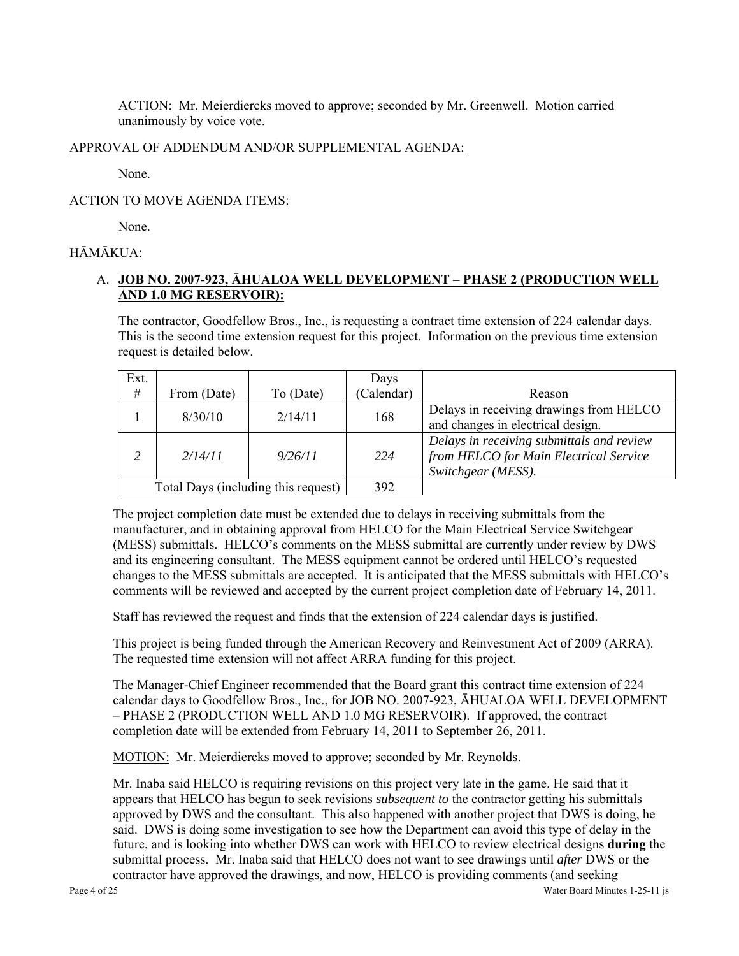ACTION: Mr. Meierdiercks moved to approve; seconded by Mr. Greenwell. Motion carried unanimously by voice vote.

### APPROVAL OF ADDENDUM AND/OR SUPPLEMENTAL AGENDA:

None.

### ACTION TO MOVE AGENDA ITEMS:

None.

# HĀMĀKUA:

# A. **JOB NO. 2007-923, ĀHUALOA WELL DEVELOPMENT – PHASE 2 (PRODUCTION WELL AND 1.0 MG RESERVOIR):**

The contractor, Goodfellow Bros., Inc., is requesting a contract time extension of 224 calendar days. This is the second time extension request for this project. Information on the previous time extension request is detailed below.

| Ext.                                |             |           | Days       |                                                                                                           |
|-------------------------------------|-------------|-----------|------------|-----------------------------------------------------------------------------------------------------------|
| #                                   | From (Date) | To (Date) | (Calendar) | Reason                                                                                                    |
|                                     | 8/30/10     | 2/14/11   | 168        | Delays in receiving drawings from HELCO<br>and changes in electrical design.                              |
|                                     | 2/14/11     | 9/26/11   | 224        | Delays in receiving submittals and review<br>from HELCO for Main Electrical Service<br>Switchgear (MESS). |
| Total Days (including this request) |             | 392       |            |                                                                                                           |

The project completion date must be extended due to delays in receiving submittals from the manufacturer, and in obtaining approval from HELCO for the Main Electrical Service Switchgear (MESS) submittals. HELCO's comments on the MESS submittal are currently under review by DWS and its engineering consultant. The MESS equipment cannot be ordered until HELCO's requested changes to the MESS submittals are accepted. It is anticipated that the MESS submittals with HELCO's comments will be reviewed and accepted by the current project completion date of February 14, 2011.

Staff has reviewed the request and finds that the extension of 224 calendar days is justified.

This project is being funded through the American Recovery and Reinvestment Act of 2009 (ARRA). The requested time extension will not affect ARRA funding for this project.

The Manager-Chief Engineer recommended that the Board grant this contract time extension of 224 calendar days to Goodfellow Bros., Inc., for JOB NO. 2007-923, ĀHUALOA WELL DEVELOPMENT – PHASE 2 (PRODUCTION WELL AND 1.0 MG RESERVOIR). If approved, the contract completion date will be extended from February 14, 2011 to September 26, 2011.

MOTION: Mr. Meierdiercks moved to approve; seconded by Mr. Reynolds.

Mr. Inaba said HELCO is requiring revisions on this project very late in the game. He said that it appears that HELCO has begun to seek revisions *subsequent to* the contractor getting his submittals approved by DWS and the consultant. This also happened with another project that DWS is doing, he said. DWS is doing some investigation to see how the Department can avoid this type of delay in the future, and is looking into whether DWS can work with HELCO to review electrical designs **during** the submittal process. Mr. Inaba said that HELCO does not want to see drawings until *after* DWS or the contractor have approved the drawings, and now, HELCO is providing comments (and seeking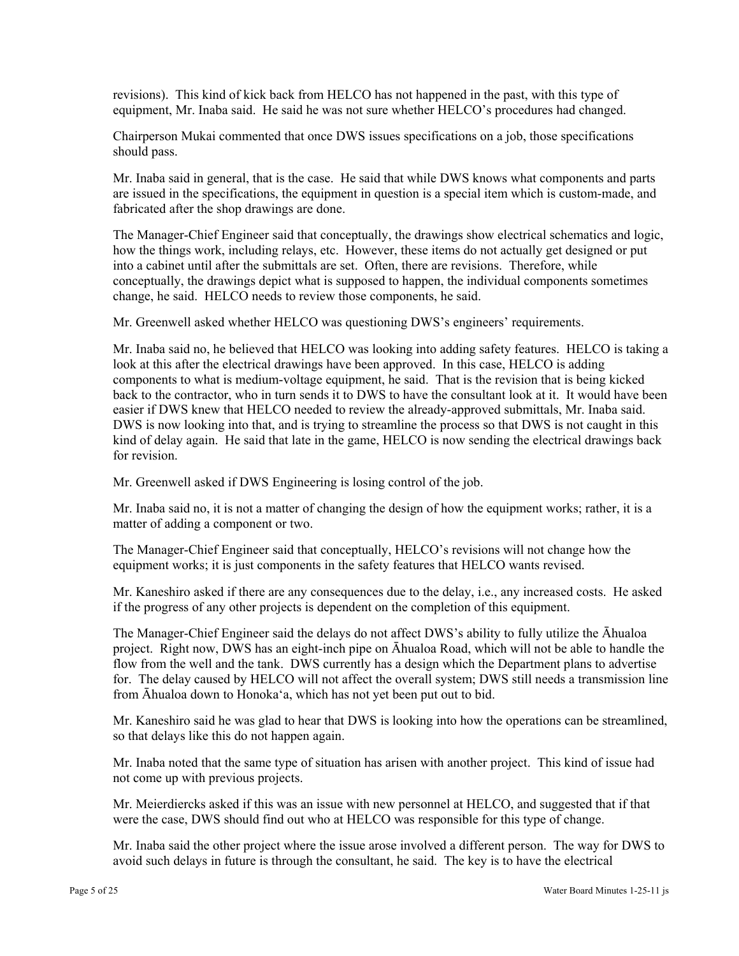revisions). This kind of kick back from HELCO has not happened in the past, with this type of equipment, Mr. Inaba said. He said he was not sure whether HELCO's procedures had changed.

Chairperson Mukai commented that once DWS issues specifications on a job, those specifications should pass.

Mr. Inaba said in general, that is the case. He said that while DWS knows what components and parts are issued in the specifications, the equipment in question is a special item which is custom-made, and fabricated after the shop drawings are done.

The Manager-Chief Engineer said that conceptually, the drawings show electrical schematics and logic, how the things work, including relays, etc. However, these items do not actually get designed or put into a cabinet until after the submittals are set. Often, there are revisions. Therefore, while conceptually, the drawings depict what is supposed to happen, the individual components sometimes change, he said. HELCO needs to review those components, he said.

Mr. Greenwell asked whether HELCO was questioning DWS's engineers' requirements.

Mr. Inaba said no, he believed that HELCO was looking into adding safety features. HELCO is taking a look at this after the electrical drawings have been approved. In this case, HELCO is adding components to what is medium-voltage equipment, he said. That is the revision that is being kicked back to the contractor, who in turn sends it to DWS to have the consultant look at it. It would have been easier if DWS knew that HELCO needed to review the already-approved submittals, Mr. Inaba said. DWS is now looking into that, and is trying to streamline the process so that DWS is not caught in this kind of delay again. He said that late in the game, HELCO is now sending the electrical drawings back for revision.

Mr. Greenwell asked if DWS Engineering is losing control of the job.

Mr. Inaba said no, it is not a matter of changing the design of how the equipment works; rather, it is a matter of adding a component or two.

The Manager-Chief Engineer said that conceptually, HELCO's revisions will not change how the equipment works; it is just components in the safety features that HELCO wants revised.

Mr. Kaneshiro asked if there are any consequences due to the delay, i.e., any increased costs. He asked if the progress of any other projects is dependent on the completion of this equipment.

The Manager-Chief Engineer said the delays do not affect DWS's ability to fully utilize the Āhualoa project. Right now, DWS has an eight-inch pipe on Āhualoa Road, which will not be able to handle the flow from the well and the tank. DWS currently has a design which the Department plans to advertise for. The delay caused by HELCO will not affect the overall system; DWS still needs a transmission line from Āhualoa down to Honoka'a, which has not yet been put out to bid.

Mr. Kaneshiro said he was glad to hear that DWS is looking into how the operations can be streamlined, so that delays like this do not happen again.

Mr. Inaba noted that the same type of situation has arisen with another project. This kind of issue had not come up with previous projects.

Mr. Meierdiercks asked if this was an issue with new personnel at HELCO, and suggested that if that were the case, DWS should find out who at HELCO was responsible for this type of change.

Mr. Inaba said the other project where the issue arose involved a different person. The way for DWS to avoid such delays in future is through the consultant, he said. The key is to have the electrical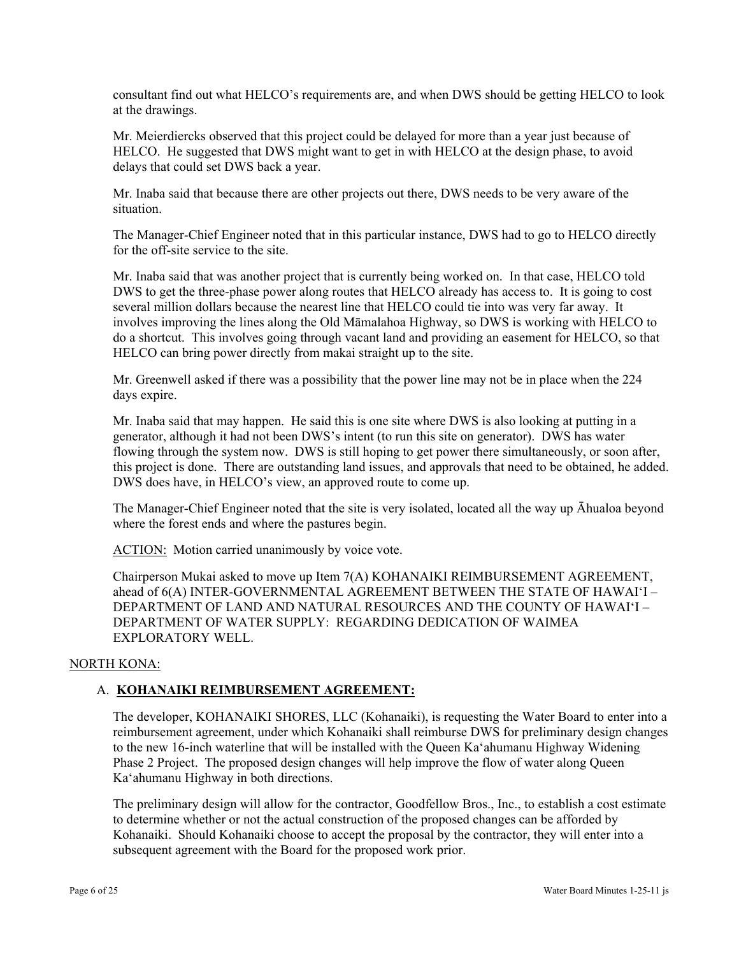consultant find out what HELCO's requirements are, and when DWS should be getting HELCO to look at the drawings.

Mr. Meierdiercks observed that this project could be delayed for more than a year just because of HELCO. He suggested that DWS might want to get in with HELCO at the design phase, to avoid delays that could set DWS back a year.

Mr. Inaba said that because there are other projects out there, DWS needs to be very aware of the situation.

The Manager-Chief Engineer noted that in this particular instance, DWS had to go to HELCO directly for the off-site service to the site.

Mr. Inaba said that was another project that is currently being worked on. In that case, HELCO told DWS to get the three-phase power along routes that HELCO already has access to. It is going to cost several million dollars because the nearest line that HELCO could tie into was very far away. It involves improving the lines along the Old Māmalahoa Highway, so DWS is working with HELCO to do a shortcut. This involves going through vacant land and providing an easement for HELCO, so that HELCO can bring power directly from makai straight up to the site.

Mr. Greenwell asked if there was a possibility that the power line may not be in place when the 224 days expire.

Mr. Inaba said that may happen. He said this is one site where DWS is also looking at putting in a generator, although it had not been DWS's intent (to run this site on generator). DWS has water flowing through the system now. DWS is still hoping to get power there simultaneously, or soon after, this project is done. There are outstanding land issues, and approvals that need to be obtained, he added. DWS does have, in HELCO's view, an approved route to come up.

The Manager-Chief Engineer noted that the site is very isolated, located all the way up Āhualoa beyond where the forest ends and where the pastures begin.

ACTION: Motion carried unanimously by voice vote.

Chairperson Mukai asked to move up Item 7(A) KOHANAIKI REIMBURSEMENT AGREEMENT, ahead of 6(A) INTER-GOVERNMENTAL AGREEMENT BETWEEN THE STATE OF HAWAI'I – DEPARTMENT OF LAND AND NATURAL RESOURCES AND THE COUNTY OF HAWAI'I – DEPARTMENT OF WATER SUPPLY: REGARDING DEDICATION OF WAIMEA EXPLORATORY WELL.

### NORTH KONA:

### A. **KOHANAIKI REIMBURSEMENT AGREEMENT:**

The developer, KOHANAIKI SHORES, LLC (Kohanaiki), is requesting the Water Board to enter into a reimbursement agreement, under which Kohanaiki shall reimburse DWS for preliminary design changes to the new 16-inch waterline that will be installed with the Queen Ka'ahumanu Highway Widening Phase 2 Project. The proposed design changes will help improve the flow of water along Queen Ka'ahumanu Highway in both directions.

The preliminary design will allow for the contractor, Goodfellow Bros., Inc., to establish a cost estimate to determine whether or not the actual construction of the proposed changes can be afforded by Kohanaiki. Should Kohanaiki choose to accept the proposal by the contractor, they will enter into a subsequent agreement with the Board for the proposed work prior.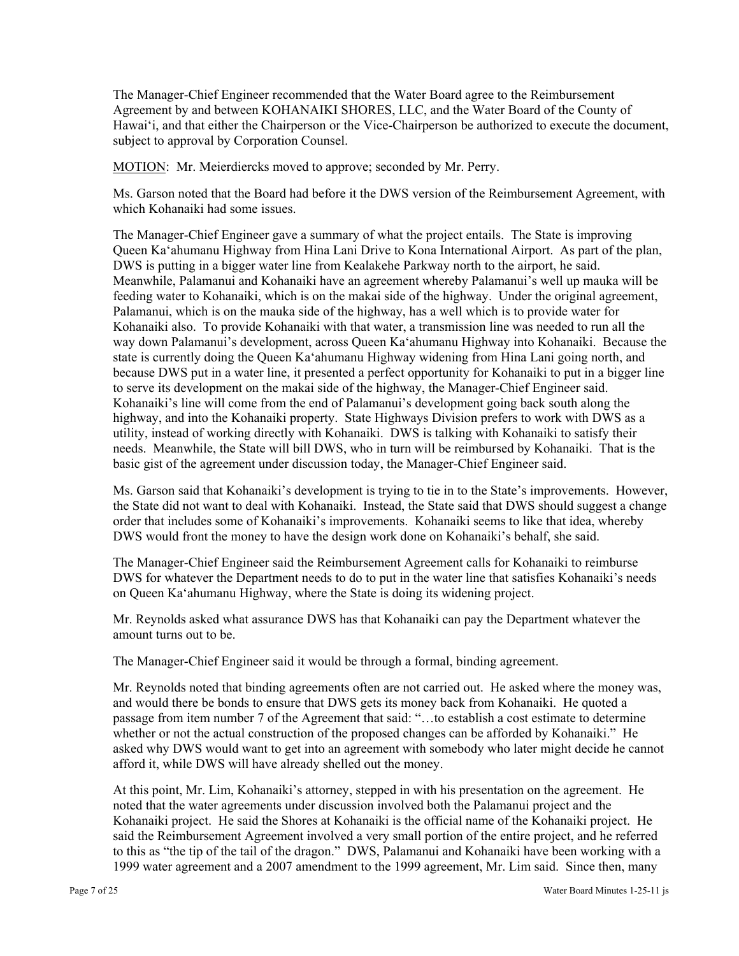The Manager-Chief Engineer recommended that the Water Board agree to the Reimbursement Agreement by and between KOHANAIKI SHORES, LLC, and the Water Board of the County of Hawai'i, and that either the Chairperson or the Vice-Chairperson be authorized to execute the document, subject to approval by Corporation Counsel.

MOTION: Mr. Meierdiercks moved to approve; seconded by Mr. Perry.

Ms. Garson noted that the Board had before it the DWS version of the Reimbursement Agreement, with which Kohanaiki had some issues.

The Manager-Chief Engineer gave a summary of what the project entails. The State is improving Queen Ka'ahumanu Highway from Hina Lani Drive to Kona International Airport. As part of the plan, DWS is putting in a bigger water line from Kealakehe Parkway north to the airport, he said. Meanwhile, Palamanui and Kohanaiki have an agreement whereby Palamanui's well up mauka will be feeding water to Kohanaiki, which is on the makai side of the highway. Under the original agreement, Palamanui, which is on the mauka side of the highway, has a well which is to provide water for Kohanaiki also. To provide Kohanaiki with that water, a transmission line was needed to run all the way down Palamanui's development, across Queen Ka'ahumanu Highway into Kohanaiki. Because the state is currently doing the Queen Ka'ahumanu Highway widening from Hina Lani going north, and because DWS put in a water line, it presented a perfect opportunity for Kohanaiki to put in a bigger line to serve its development on the makai side of the highway, the Manager-Chief Engineer said. Kohanaiki's line will come from the end of Palamanui's development going back south along the highway, and into the Kohanaiki property. State Highways Division prefers to work with DWS as a utility, instead of working directly with Kohanaiki. DWS is talking with Kohanaiki to satisfy their needs. Meanwhile, the State will bill DWS, who in turn will be reimbursed by Kohanaiki. That is the basic gist of the agreement under discussion today, the Manager-Chief Engineer said.

Ms. Garson said that Kohanaiki's development is trying to tie in to the State's improvements. However, the State did not want to deal with Kohanaiki. Instead, the State said that DWS should suggest a change order that includes some of Kohanaiki's improvements. Kohanaiki seems to like that idea, whereby DWS would front the money to have the design work done on Kohanaiki's behalf, she said.

The Manager-Chief Engineer said the Reimbursement Agreement calls for Kohanaiki to reimburse DWS for whatever the Department needs to do to put in the water line that satisfies Kohanaiki's needs on Queen Ka'ahumanu Highway, where the State is doing its widening project.

Mr. Reynolds asked what assurance DWS has that Kohanaiki can pay the Department whatever the amount turns out to be.

The Manager-Chief Engineer said it would be through a formal, binding agreement.

Mr. Reynolds noted that binding agreements often are not carried out. He asked where the money was, and would there be bonds to ensure that DWS gets its money back from Kohanaiki. He quoted a passage from item number 7 of the Agreement that said: "…to establish a cost estimate to determine whether or not the actual construction of the proposed changes can be afforded by Kohanaiki." He asked why DWS would want to get into an agreement with somebody who later might decide he cannot afford it, while DWS will have already shelled out the money.

At this point, Mr. Lim, Kohanaiki's attorney, stepped in with his presentation on the agreement. He noted that the water agreements under discussion involved both the Palamanui project and the Kohanaiki project. He said the Shores at Kohanaiki is the official name of the Kohanaiki project. He said the Reimbursement Agreement involved a very small portion of the entire project, and he referred to this as "the tip of the tail of the dragon." DWS, Palamanui and Kohanaiki have been working with a 1999 water agreement and a 2007 amendment to the 1999 agreement, Mr. Lim said. Since then, many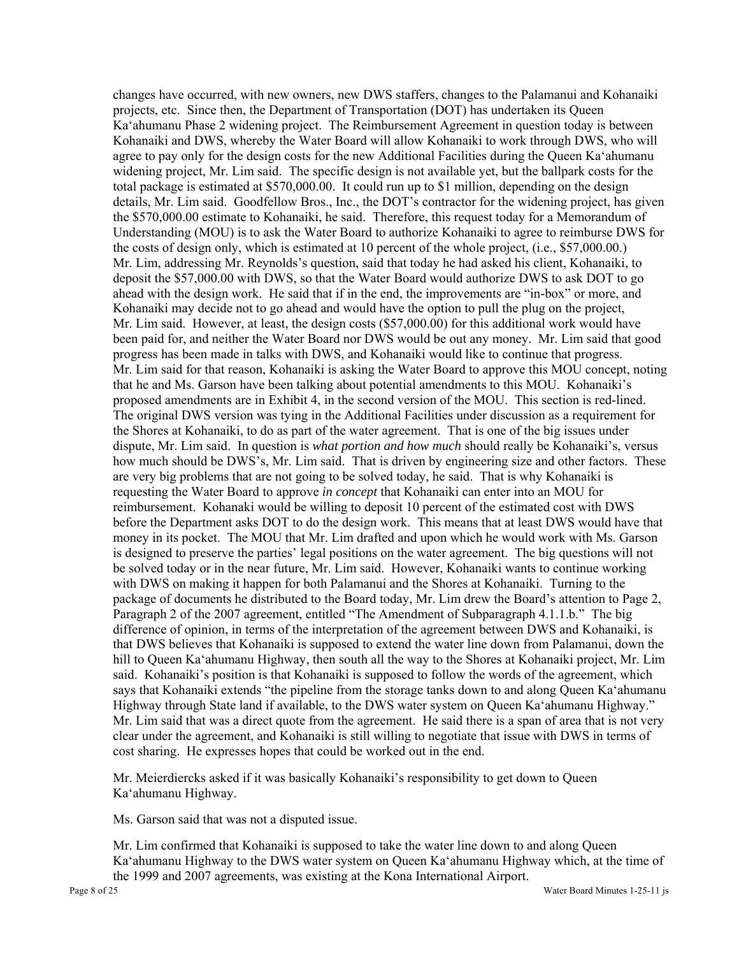changes have occurred, with new owners, new DWS staffers, changes to the Palamanui and Kohanaiki projects, etc. Since then, the Department of Transportation (DOT) has undertaken its Queen Ka'ahumanu Phase 2 widening project. The Reimbursement Agreement in question today is between Kohanaiki and DWS, whereby the Water Board will allow Kohanaiki to work through DWS, who will agree to pay only for the design costs for the new Additional Facilities during the Queen Ka'ahumanu widening project, Mr. Lim said. The specific design is not available yet, but the ballpark costs for the total package is estimated at \$570,000.00. It could run up to \$1 million, depending on the design details, Mr. Lim said. Goodfellow Bros., Inc., the DOT's contractor for the widening project, has given the \$570,000.00 estimate to Kohanaiki, he said. Therefore, this request today for a Memorandum of Understanding (MOU) is to ask the Water Board to authorize Kohanaiki to agree to reimburse DWS for the costs of design only, which is estimated at 10 percent of the whole project, (i.e., \$57,000.00.) Mr. Lim, addressing Mr. Reynolds's question, said that today he had asked his client, Kohanaiki, to deposit the \$57,000.00 with DWS, so that the Water Board would authorize DWS to ask DOT to go ahead with the design work. He said that if in the end, the improvements are "in-box" or more, and Kohanaiki may decide not to go ahead and would have the option to pull the plug on the project, Mr. Lim said. However, at least, the design costs (\$57,000.00) for this additional work would have been paid for, and neither the Water Board nor DWS would be out any money. Mr. Lim said that good progress has been made in talks with DWS, and Kohanaiki would like to continue that progress. Mr. Lim said for that reason, Kohanaiki is asking the Water Board to approve this MOU concept, noting that he and Ms. Garson have been talking about potential amendments to this MOU. Kohanaiki's proposed amendments are in Exhibit 4, in the second version of the MOU. This section is red-lined. The original DWS version was tying in the Additional Facilities under discussion as a requirement for the Shores at Kohanaiki, to do as part of the water agreement. That is one of the big issues under dispute, Mr. Lim said. In question is *what portion and how much* should really be Kohanaiki's, versus how much should be DWS's, Mr. Lim said. That is driven by engineering size and other factors. These are very big problems that are not going to be solved today, he said. That is why Kohanaiki is requesting the Water Board to approve *in concept* that Kohanaiki can enter into an MOU for reimbursement. Kohanaki would be willing to deposit 10 percent of the estimated cost with DWS before the Department asks DOT to do the design work. This means that at least DWS would have that money in its pocket. The MOU that Mr. Lim drafted and upon which he would work with Ms. Garson is designed to preserve the parties' legal positions on the water agreement. The big questions will not be solved today or in the near future, Mr. Lim said. However, Kohanaiki wants to continue working with DWS on making it happen for both Palamanui and the Shores at Kohanaiki. Turning to the package of documents he distributed to the Board today, Mr. Lim drew the Board's attention to Page 2, Paragraph 2 of the 2007 agreement, entitled "The Amendment of Subparagraph 4.1.1.b." The big difference of opinion, in terms of the interpretation of the agreement between DWS and Kohanaiki, is that DWS believes that Kohanaiki is supposed to extend the water line down from Palamanui, down the hill to Queen Ka'ahumanu Highway, then south all the way to the Shores at Kohanaiki project, Mr. Lim said. Kohanaiki's position is that Kohanaiki is supposed to follow the words of the agreement, which says that Kohanaiki extends "the pipeline from the storage tanks down to and along Queen Ka'ahumanu Highway through State land if available, to the DWS water system on Queen Ka'ahumanu Highway." Mr. Lim said that was a direct quote from the agreement. He said there is a span of area that is not very clear under the agreement, and Kohanaiki is still willing to negotiate that issue with DWS in terms of cost sharing. He expresses hopes that could be worked out in the end.

Mr. Meierdiercks asked if it was basically Kohanaiki's responsibility to get down to Queen Ka'ahumanu Highway.

Ms. Garson said that was not a disputed issue.

Mr. Lim confirmed that Kohanaiki is supposed to take the water line down to and along Queen Ka'ahumanu Highway to the DWS water system on Queen Ka'ahumanu Highway which, at the time of the 1999 and 2007 agreements, was existing at the Kona International Airport.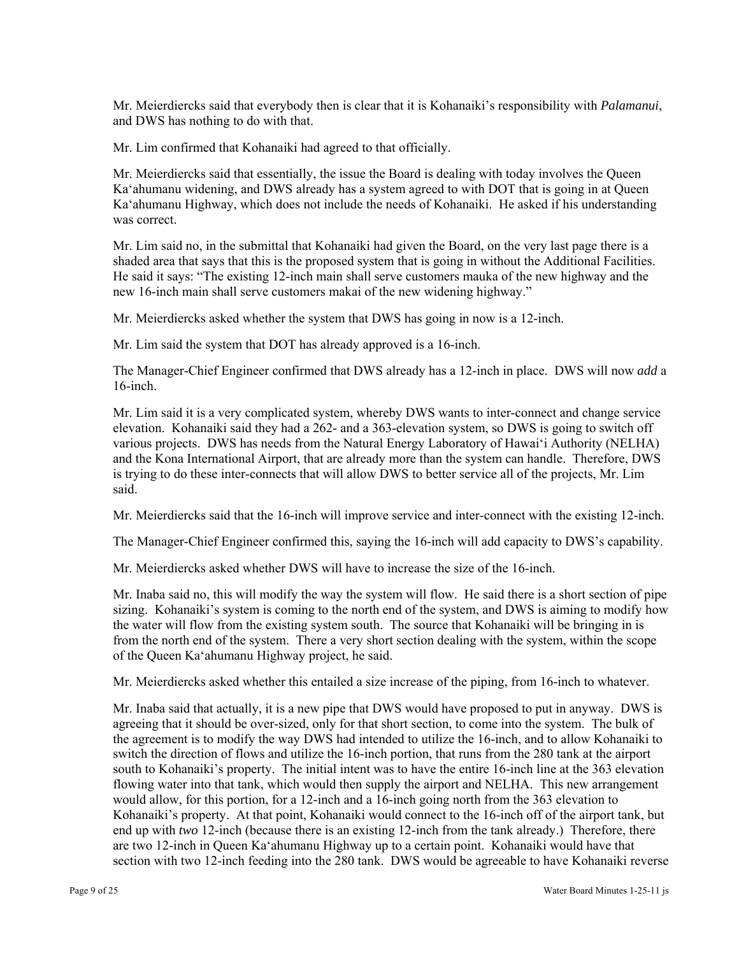Mr. Meierdiercks said that everybody then is clear that it is Kohanaiki's responsibility with *Palamanui*, and DWS has nothing to do with that.

Mr. Lim confirmed that Kohanaiki had agreed to that officially.

Mr. Meierdiercks said that essentially, the issue the Board is dealing with today involves the Queen Ka'ahumanu widening, and DWS already has a system agreed to with DOT that is going in at Queen Ka'ahumanu Highway, which does not include the needs of Kohanaiki. He asked if his understanding was correct.

Mr. Lim said no, in the submittal that Kohanaiki had given the Board, on the very last page there is a shaded area that says that this is the proposed system that is going in without the Additional Facilities. He said it says: "The existing 12-inch main shall serve customers mauka of the new highway and the new 16-inch main shall serve customers makai of the new widening highway."

Mr. Meierdiercks asked whether the system that DWS has going in now is a 12-inch.

Mr. Lim said the system that DOT has already approved is a 16-inch.

The Manager-Chief Engineer confirmed that DWS already has a 12-inch in place. DWS will now *add* a 16-inch.

Mr. Lim said it is a very complicated system, whereby DWS wants to inter-connect and change service elevation. Kohanaiki said they had a 262- and a 363-elevation system, so DWS is going to switch off various projects. DWS has needs from the Natural Energy Laboratory of Hawai'i Authority (NELHA) and the Kona International Airport, that are already more than the system can handle. Therefore, DWS is trying to do these inter-connects that will allow DWS to better service all of the projects, Mr. Lim said.

Mr. Meierdiercks said that the 16-inch will improve service and inter-connect with the existing 12-inch.

The Manager-Chief Engineer confirmed this, saying the 16-inch will add capacity to DWS's capability.

Mr. Meierdiercks asked whether DWS will have to increase the size of the 16-inch.

Mr. Inaba said no, this will modify the way the system will flow. He said there is a short section of pipe sizing. Kohanaiki's system is coming to the north end of the system, and DWS is aiming to modify how the water will flow from the existing system south. The source that Kohanaiki will be bringing in is from the north end of the system. There a very short section dealing with the system, within the scope of the Queen Ka'ahumanu Highway project, he said.

Mr. Meierdiercks asked whether this entailed a size increase of the piping, from 16-inch to whatever.

Mr. Inaba said that actually, it is a new pipe that DWS would have proposed to put in anyway. DWS is agreeing that it should be over-sized, only for that short section, to come into the system. The bulk of the agreement is to modify the way DWS had intended to utilize the 16-inch, and to allow Kohanaiki to switch the direction of flows and utilize the 16-inch portion, that runs from the 280 tank at the airport south to Kohanaiki's property. The initial intent was to have the entire 16-inch line at the 363 elevation flowing water into that tank, which would then supply the airport and NELHA. This new arrangement would allow, for this portion, for a 12-inch and a 16-inch going north from the 363 elevation to Kohanaiki's property. At that point, Kohanaiki would connect to the 16-inch off of the airport tank, but end up with *two* 12-inch (because there is an existing 12-inch from the tank already.) Therefore, there are two 12-inch in Queen Ka'ahumanu Highway up to a certain point. Kohanaiki would have that section with two 12-inch feeding into the 280 tank. DWS would be agreeable to have Kohanaiki reverse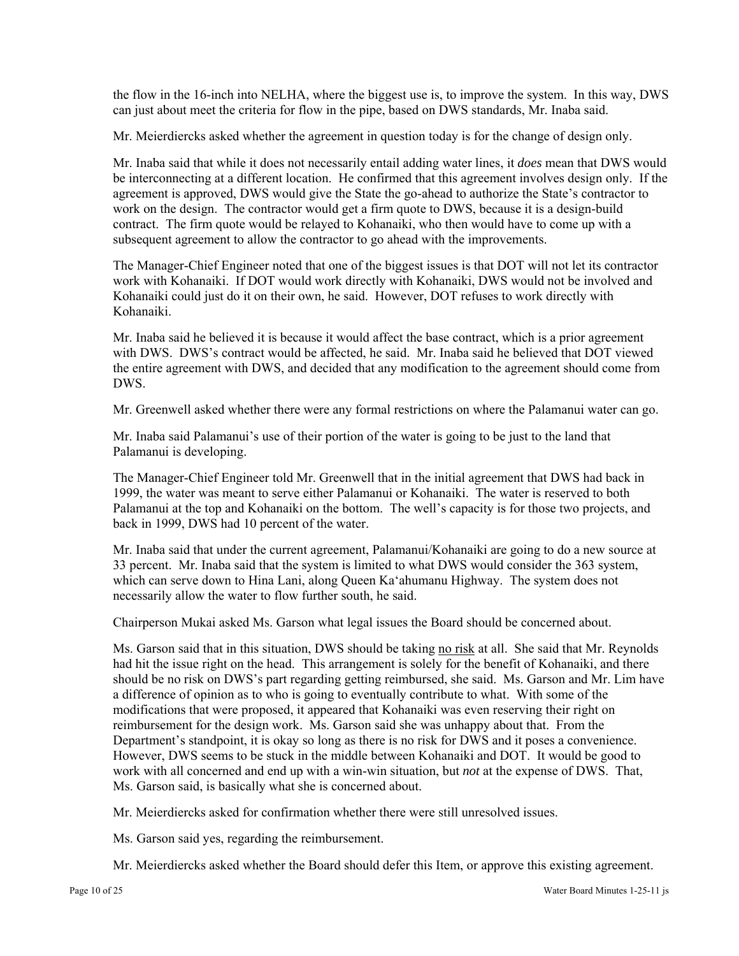the flow in the 16-inch into NELHA, where the biggest use is, to improve the system. In this way, DWS can just about meet the criteria for flow in the pipe, based on DWS standards, Mr. Inaba said.

Mr. Meierdiercks asked whether the agreement in question today is for the change of design only.

Mr. Inaba said that while it does not necessarily entail adding water lines, it *does* mean that DWS would be interconnecting at a different location. He confirmed that this agreement involves design only. If the agreement is approved, DWS would give the State the go-ahead to authorize the State's contractor to work on the design. The contractor would get a firm quote to DWS, because it is a design-build contract. The firm quote would be relayed to Kohanaiki, who then would have to come up with a subsequent agreement to allow the contractor to go ahead with the improvements.

The Manager-Chief Engineer noted that one of the biggest issues is that DOT will not let its contractor work with Kohanaiki. If DOT would work directly with Kohanaiki, DWS would not be involved and Kohanaiki could just do it on their own, he said. However, DOT refuses to work directly with Kohanaiki.

Mr. Inaba said he believed it is because it would affect the base contract, which is a prior agreement with DWS. DWS's contract would be affected, he said. Mr. Inaba said he believed that DOT viewed the entire agreement with DWS, and decided that any modification to the agreement should come from DWS.

Mr. Greenwell asked whether there were any formal restrictions on where the Palamanui water can go.

Mr. Inaba said Palamanui's use of their portion of the water is going to be just to the land that Palamanui is developing.

The Manager-Chief Engineer told Mr. Greenwell that in the initial agreement that DWS had back in 1999, the water was meant to serve either Palamanui or Kohanaiki. The water is reserved to both Palamanui at the top and Kohanaiki on the bottom. The well's capacity is for those two projects, and back in 1999, DWS had 10 percent of the water.

Mr. Inaba said that under the current agreement, Palamanui/Kohanaiki are going to do a new source at 33 percent. Mr. Inaba said that the system is limited to what DWS would consider the 363 system, which can serve down to Hina Lani, along Queen Ka'ahumanu Highway. The system does not necessarily allow the water to flow further south, he said.

Chairperson Mukai asked Ms. Garson what legal issues the Board should be concerned about.

Ms. Garson said that in this situation, DWS should be taking no risk at all. She said that Mr. Reynolds had hit the issue right on the head. This arrangement is solely for the benefit of Kohanaiki, and there should be no risk on DWS's part regarding getting reimbursed, she said. Ms. Garson and Mr. Lim have a difference of opinion as to who is going to eventually contribute to what. With some of the modifications that were proposed, it appeared that Kohanaiki was even reserving their right on reimbursement for the design work. Ms. Garson said she was unhappy about that. From the Department's standpoint, it is okay so long as there is no risk for DWS and it poses a convenience. However, DWS seems to be stuck in the middle between Kohanaiki and DOT. It would be good to work with all concerned and end up with a win-win situation, but *not* at the expense of DWS. That, Ms. Garson said, is basically what she is concerned about.

Mr. Meierdiercks asked for confirmation whether there were still unresolved issues.

Ms. Garson said yes, regarding the reimbursement.

Mr. Meierdiercks asked whether the Board should defer this Item, or approve this existing agreement.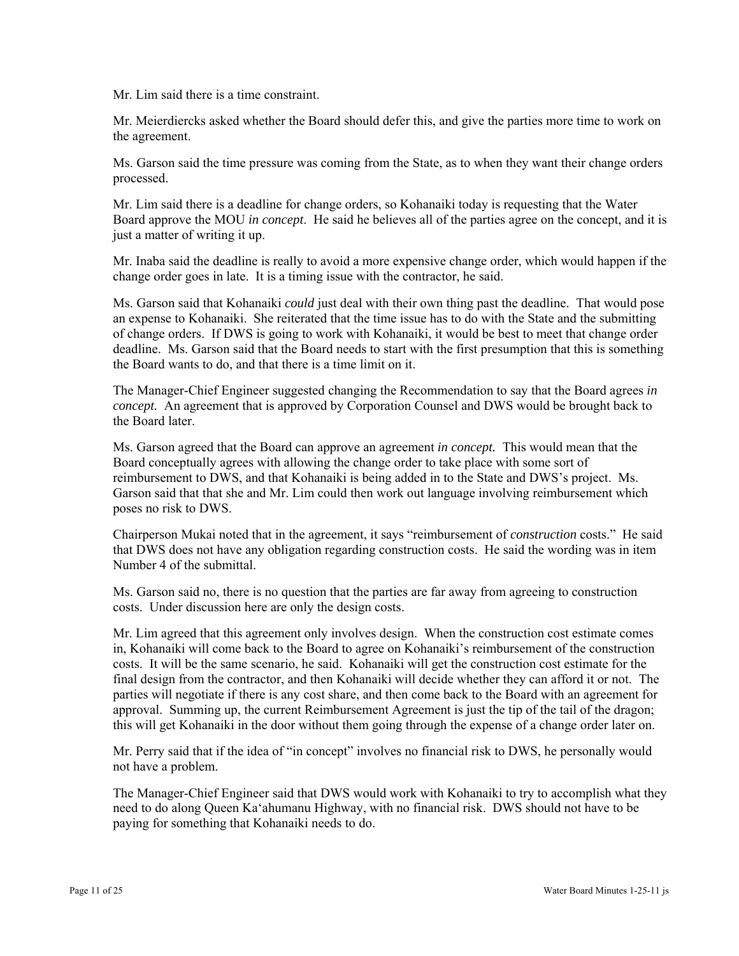Mr. Lim said there is a time constraint.

Mr. Meierdiercks asked whether the Board should defer this, and give the parties more time to work on the agreement.

Ms. Garson said the time pressure was coming from the State, as to when they want their change orders processed.

Mr. Lim said there is a deadline for change orders, so Kohanaiki today is requesting that the Water Board approve the MOU *in concept*. He said he believes all of the parties agree on the concept, and it is just a matter of writing it up.

Mr. Inaba said the deadline is really to avoid a more expensive change order, which would happen if the change order goes in late. It is a timing issue with the contractor, he said.

Ms. Garson said that Kohanaiki *could* just deal with their own thing past the deadline. That would pose an expense to Kohanaiki. She reiterated that the time issue has to do with the State and the submitting of change orders. If DWS is going to work with Kohanaiki, it would be best to meet that change order deadline. Ms. Garson said that the Board needs to start with the first presumption that this is something the Board wants to do, and that there is a time limit on it.

The Manager-Chief Engineer suggested changing the Recommendation to say that the Board agrees *in concept.* An agreement that is approved by Corporation Counsel and DWS would be brought back to the Board later.

Ms. Garson agreed that the Board can approve an agreement *in concept.* This would mean that the Board conceptually agrees with allowing the change order to take place with some sort of reimbursement to DWS, and that Kohanaiki is being added in to the State and DWS's project. Ms. Garson said that that she and Mr. Lim could then work out language involving reimbursement which poses no risk to DWS.

Chairperson Mukai noted that in the agreement, it says "reimbursement of *construction* costs." He said that DWS does not have any obligation regarding construction costs. He said the wording was in item Number 4 of the submittal.

Ms. Garson said no, there is no question that the parties are far away from agreeing to construction costs. Under discussion here are only the design costs.

Mr. Lim agreed that this agreement only involves design. When the construction cost estimate comes in, Kohanaiki will come back to the Board to agree on Kohanaiki's reimbursement of the construction costs. It will be the same scenario, he said. Kohanaiki will get the construction cost estimate for the final design from the contractor, and then Kohanaiki will decide whether they can afford it or not. The parties will negotiate if there is any cost share, and then come back to the Board with an agreement for approval. Summing up, the current Reimbursement Agreement is just the tip of the tail of the dragon; this will get Kohanaiki in the door without them going through the expense of a change order later on.

Mr. Perry said that if the idea of "in concept" involves no financial risk to DWS, he personally would not have a problem.

The Manager-Chief Engineer said that DWS would work with Kohanaiki to try to accomplish what they need to do along Queen Ka'ahumanu Highway, with no financial risk. DWS should not have to be paying for something that Kohanaiki needs to do.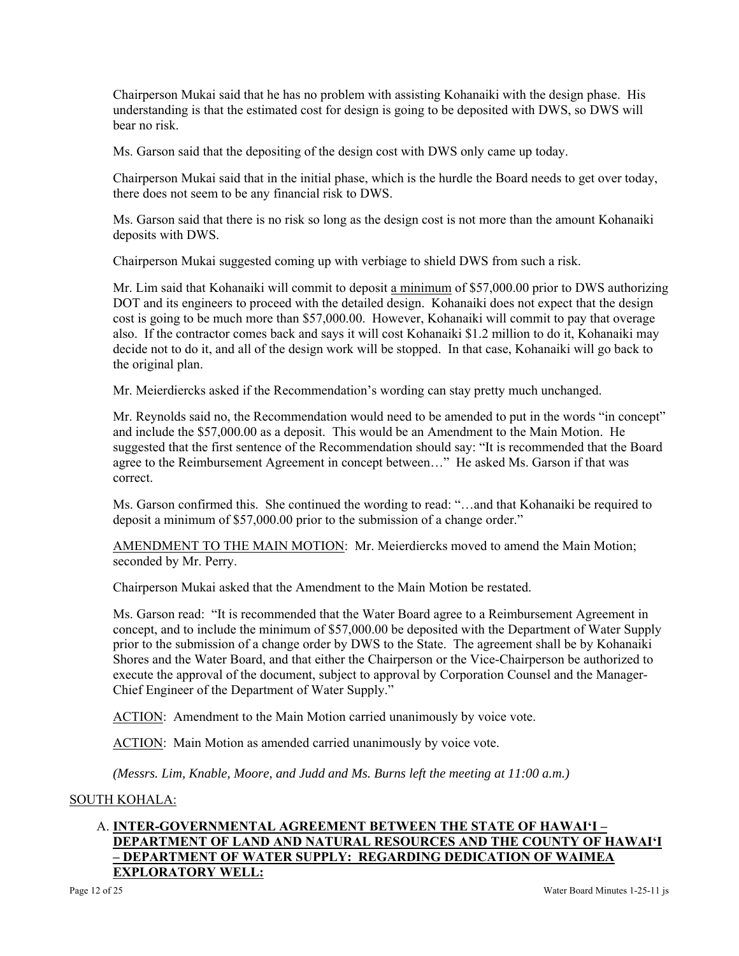Chairperson Mukai said that he has no problem with assisting Kohanaiki with the design phase. His understanding is that the estimated cost for design is going to be deposited with DWS, so DWS will bear no risk.

Ms. Garson said that the depositing of the design cost with DWS only came up today.

Chairperson Mukai said that in the initial phase, which is the hurdle the Board needs to get over today, there does not seem to be any financial risk to DWS.

Ms. Garson said that there is no risk so long as the design cost is not more than the amount Kohanaiki deposits with DWS.

Chairperson Mukai suggested coming up with verbiage to shield DWS from such a risk.

Mr. Lim said that Kohanaiki will commit to deposit a minimum of \$57,000.00 prior to DWS authorizing DOT and its engineers to proceed with the detailed design. Kohanaiki does not expect that the design cost is going to be much more than \$57,000.00. However, Kohanaiki will commit to pay that overage also. If the contractor comes back and says it will cost Kohanaiki \$1.2 million to do it, Kohanaiki may decide not to do it, and all of the design work will be stopped. In that case, Kohanaiki will go back to the original plan.

Mr. Meierdiercks asked if the Recommendation's wording can stay pretty much unchanged.

Mr. Reynolds said no, the Recommendation would need to be amended to put in the words "in concept" and include the \$57,000.00 as a deposit. This would be an Amendment to the Main Motion. He suggested that the first sentence of the Recommendation should say: "It is recommended that the Board agree to the Reimbursement Agreement in concept between…" He asked Ms. Garson if that was correct.

Ms. Garson confirmed this. She continued the wording to read: "…and that Kohanaiki be required to deposit a minimum of \$57,000.00 prior to the submission of a change order."

AMENDMENT TO THE MAIN MOTION: Mr. Meierdiercks moved to amend the Main Motion; seconded by Mr. Perry.

Chairperson Mukai asked that the Amendment to the Main Motion be restated.

Ms. Garson read: "It is recommended that the Water Board agree to a Reimbursement Agreement in concept, and to include the minimum of \$57,000.00 be deposited with the Department of Water Supply prior to the submission of a change order by DWS to the State. The agreement shall be by Kohanaiki Shores and the Water Board, and that either the Chairperson or the Vice-Chairperson be authorized to execute the approval of the document, subject to approval by Corporation Counsel and the Manager-Chief Engineer of the Department of Water Supply."

ACTION: Amendment to the Main Motion carried unanimously by voice vote.

ACTION: Main Motion as amended carried unanimously by voice vote.

*(Messrs. Lim, Knable, Moore, and Judd and Ms. Burns left the meeting at 11:00 a.m.)* 

#### SOUTH KOHALA:

# A. **INTER-GOVERNMENTAL AGREEMENT BETWEEN THE STATE OF HAWAI'I – DEPARTMENT OF LAND AND NATURAL RESOURCES AND THE COUNTY OF HAWAI'I – DEPARTMENT OF WATER SUPPLY: REGARDING DEDICATION OF WAIMEA EXPLORATORY WELL:**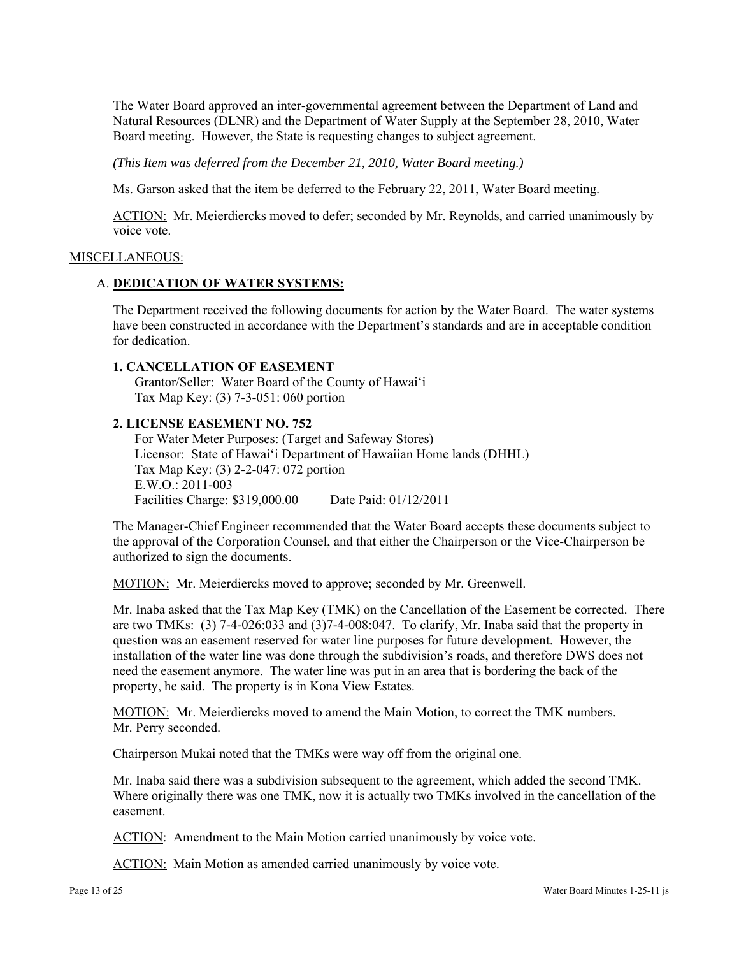The Water Board approved an inter-governmental agreement between the Department of Land and Natural Resources (DLNR) and the Department of Water Supply at the September 28, 2010, Water Board meeting. However, the State is requesting changes to subject agreement.

*(This Item was deferred from the December 21, 2010, Water Board meeting.)* 

Ms. Garson asked that the item be deferred to the February 22, 2011, Water Board meeting.

ACTION: Mr. Meierdiercks moved to defer; seconded by Mr. Reynolds, and carried unanimously by voice vote.

#### MISCELLANEOUS:

#### A. **DEDICATION OF WATER SYSTEMS:**

The Department received the following documents for action by the Water Board. The water systems have been constructed in accordance with the Department's standards and are in acceptable condition for dedication.

### **1. CANCELLATION OF EASEMENT**

Grantor/Seller: Water Board of the County of Hawai'i Tax Map Key: (3) 7-3-051: 060 portion

#### **2. LICENSE EASEMENT NO. 752**

For Water Meter Purposes: (Target and Safeway Stores) Licensor: State of Hawai'i Department of Hawaiian Home lands (DHHL) Tax Map Key: (3) 2-2-047: 072 portion E.W.O.: 2011-003 Facilities Charge: \$319,000.00 Date Paid: 01/12/2011

The Manager-Chief Engineer recommended that the Water Board accepts these documents subject to the approval of the Corporation Counsel, and that either the Chairperson or the Vice-Chairperson be authorized to sign the documents.

MOTION: Mr. Meierdiercks moved to approve; seconded by Mr. Greenwell.

Mr. Inaba asked that the Tax Map Key (TMK) on the Cancellation of the Easement be corrected. There are two TMKs: (3) 7-4-026:033 and (3)7-4-008:047. To clarify, Mr. Inaba said that the property in question was an easement reserved for water line purposes for future development. However, the installation of the water line was done through the subdivision's roads, and therefore DWS does not need the easement anymore. The water line was put in an area that is bordering the back of the property, he said. The property is in Kona View Estates.

MOTION: Mr. Meierdiercks moved to amend the Main Motion, to correct the TMK numbers. Mr. Perry seconded.

Chairperson Mukai noted that the TMKs were way off from the original one.

Mr. Inaba said there was a subdivision subsequent to the agreement, which added the second TMK. Where originally there was one TMK, now it is actually two TMKs involved in the cancellation of the easement.

ACTION: Amendment to the Main Motion carried unanimously by voice vote.

ACTION: Main Motion as amended carried unanimously by voice vote.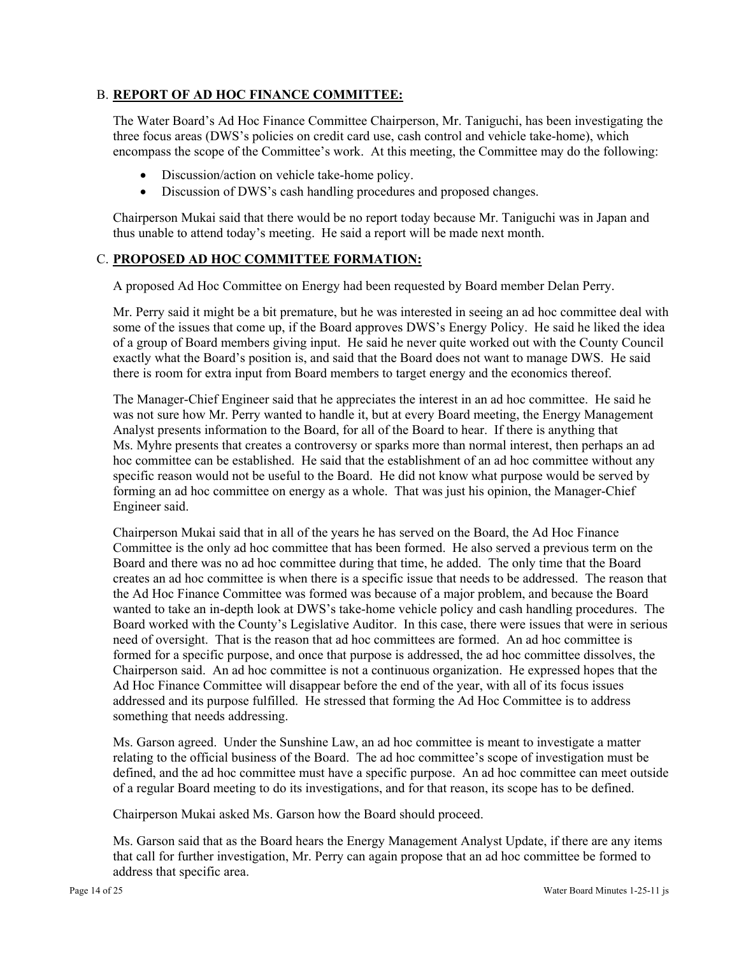# B. **REPORT OF AD HOC FINANCE COMMITTEE:**

The Water Board's Ad Hoc Finance Committee Chairperson, Mr. Taniguchi, has been investigating the three focus areas (DWS's policies on credit card use, cash control and vehicle take-home), which encompass the scope of the Committee's work. At this meeting, the Committee may do the following:

- Discussion/action on vehicle take-home policy.
- Discussion of DWS's cash handling procedures and proposed changes.

Chairperson Mukai said that there would be no report today because Mr. Taniguchi was in Japan and thus unable to attend today's meeting. He said a report will be made next month.

# C. **PROPOSED AD HOC COMMITTEE FORMATION:**

A proposed Ad Hoc Committee on Energy had been requested by Board member Delan Perry.

Mr. Perry said it might be a bit premature, but he was interested in seeing an ad hoc committee deal with some of the issues that come up, if the Board approves DWS's Energy Policy. He said he liked the idea of a group of Board members giving input. He said he never quite worked out with the County Council exactly what the Board's position is, and said that the Board does not want to manage DWS. He said there is room for extra input from Board members to target energy and the economics thereof.

The Manager-Chief Engineer said that he appreciates the interest in an ad hoc committee. He said he was not sure how Mr. Perry wanted to handle it, but at every Board meeting, the Energy Management Analyst presents information to the Board, for all of the Board to hear. If there is anything that Ms. Myhre presents that creates a controversy or sparks more than normal interest, then perhaps an ad hoc committee can be established. He said that the establishment of an ad hoc committee without any specific reason would not be useful to the Board. He did not know what purpose would be served by forming an ad hoc committee on energy as a whole. That was just his opinion, the Manager-Chief Engineer said.

Chairperson Mukai said that in all of the years he has served on the Board, the Ad Hoc Finance Committee is the only ad hoc committee that has been formed. He also served a previous term on the Board and there was no ad hoc committee during that time, he added. The only time that the Board creates an ad hoc committee is when there is a specific issue that needs to be addressed. The reason that the Ad Hoc Finance Committee was formed was because of a major problem, and because the Board wanted to take an in-depth look at DWS's take-home vehicle policy and cash handling procedures. The Board worked with the County's Legislative Auditor. In this case, there were issues that were in serious need of oversight. That is the reason that ad hoc committees are formed. An ad hoc committee is formed for a specific purpose, and once that purpose is addressed, the ad hoc committee dissolves, the Chairperson said. An ad hoc committee is not a continuous organization. He expressed hopes that the Ad Hoc Finance Committee will disappear before the end of the year, with all of its focus issues addressed and its purpose fulfilled. He stressed that forming the Ad Hoc Committee is to address something that needs addressing.

Ms. Garson agreed. Under the Sunshine Law, an ad hoc committee is meant to investigate a matter relating to the official business of the Board. The ad hoc committee's scope of investigation must be defined, and the ad hoc committee must have a specific purpose. An ad hoc committee can meet outside of a regular Board meeting to do its investigations, and for that reason, its scope has to be defined.

Chairperson Mukai asked Ms. Garson how the Board should proceed.

Ms. Garson said that as the Board hears the Energy Management Analyst Update, if there are any items that call for further investigation, Mr. Perry can again propose that an ad hoc committee be formed to address that specific area.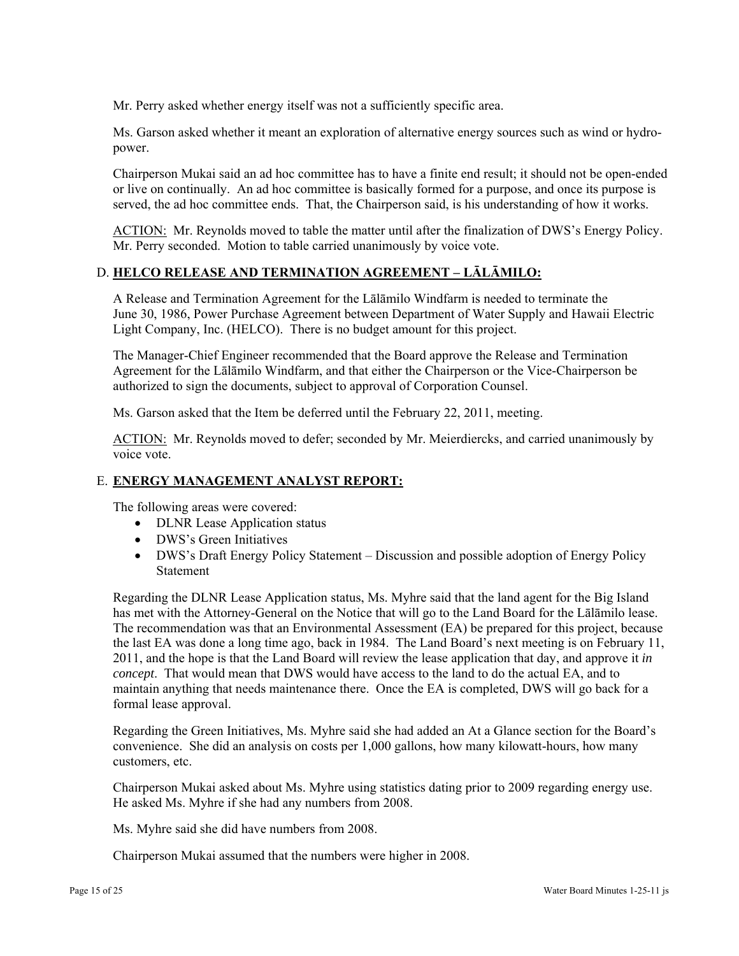Mr. Perry asked whether energy itself was not a sufficiently specific area.

Ms. Garson asked whether it meant an exploration of alternative energy sources such as wind or hydropower.

Chairperson Mukai said an ad hoc committee has to have a finite end result; it should not be open-ended or live on continually. An ad hoc committee is basically formed for a purpose, and once its purpose is served, the ad hoc committee ends. That, the Chairperson said, is his understanding of how it works.

ACTION: Mr. Reynolds moved to table the matter until after the finalization of DWS's Energy Policy. Mr. Perry seconded. Motion to table carried unanimously by voice vote.

# D. **HELCO RELEASE AND TERMINATION AGREEMENT – LĀLĀMILO:**

A Release and Termination Agreement for the Lālāmilo Windfarm is needed to terminate the June 30, 1986, Power Purchase Agreement between Department of Water Supply and Hawaii Electric Light Company, Inc. (HELCO). There is no budget amount for this project.

The Manager-Chief Engineer recommended that the Board approve the Release and Termination Agreement for the Lālāmilo Windfarm, and that either the Chairperson or the Vice-Chairperson be authorized to sign the documents, subject to approval of Corporation Counsel.

Ms. Garson asked that the Item be deferred until the February 22, 2011, meeting.

ACTION: Mr. Reynolds moved to defer; seconded by Mr. Meierdiercks, and carried unanimously by voice vote.

# E. **ENERGY MANAGEMENT ANALYST REPORT:**

The following areas were covered:

- DLNR Lease Application status
- DWS's Green Initiatives
- DWS's Draft Energy Policy Statement Discussion and possible adoption of Energy Policy Statement

Regarding the DLNR Lease Application status, Ms. Myhre said that the land agent for the Big Island has met with the Attorney-General on the Notice that will go to the Land Board for the Lālāmilo lease. The recommendation was that an Environmental Assessment (EA) be prepared for this project, because the last EA was done a long time ago, back in 1984. The Land Board's next meeting is on February 11, 2011, and the hope is that the Land Board will review the lease application that day, and approve it *in concept*. That would mean that DWS would have access to the land to do the actual EA, and to maintain anything that needs maintenance there. Once the EA is completed, DWS will go back for a formal lease approval.

Regarding the Green Initiatives, Ms. Myhre said she had added an At a Glance section for the Board's convenience. She did an analysis on costs per 1,000 gallons, how many kilowatt-hours, how many customers, etc.

Chairperson Mukai asked about Ms. Myhre using statistics dating prior to 2009 regarding energy use. He asked Ms. Myhre if she had any numbers from 2008.

Ms. Myhre said she did have numbers from 2008.

Chairperson Mukai assumed that the numbers were higher in 2008.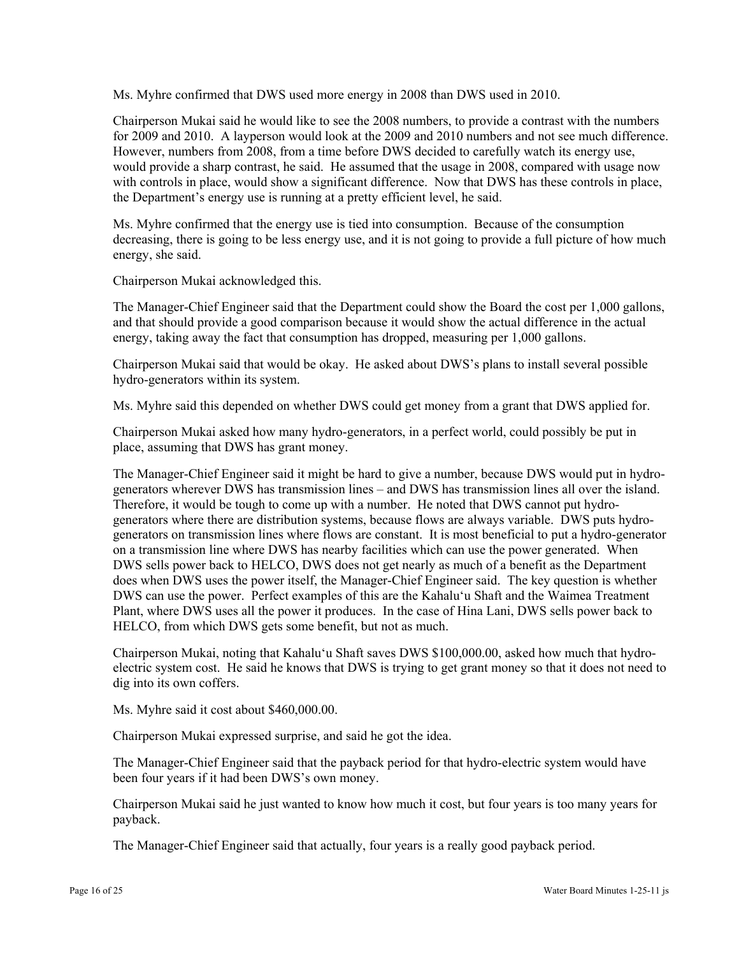Ms. Myhre confirmed that DWS used more energy in 2008 than DWS used in 2010.

Chairperson Mukai said he would like to see the 2008 numbers, to provide a contrast with the numbers for 2009 and 2010. A layperson would look at the 2009 and 2010 numbers and not see much difference. However, numbers from 2008, from a time before DWS decided to carefully watch its energy use, would provide a sharp contrast, he said. He assumed that the usage in 2008, compared with usage now with controls in place, would show a significant difference. Now that DWS has these controls in place, the Department's energy use is running at a pretty efficient level, he said.

Ms. Myhre confirmed that the energy use is tied into consumption. Because of the consumption decreasing, there is going to be less energy use, and it is not going to provide a full picture of how much energy, she said.

Chairperson Mukai acknowledged this.

The Manager-Chief Engineer said that the Department could show the Board the cost per 1,000 gallons, and that should provide a good comparison because it would show the actual difference in the actual energy, taking away the fact that consumption has dropped, measuring per 1,000 gallons.

Chairperson Mukai said that would be okay. He asked about DWS's plans to install several possible hydro-generators within its system.

Ms. Myhre said this depended on whether DWS could get money from a grant that DWS applied for.

Chairperson Mukai asked how many hydro-generators, in a perfect world, could possibly be put in place, assuming that DWS has grant money.

The Manager-Chief Engineer said it might be hard to give a number, because DWS would put in hydrogenerators wherever DWS has transmission lines – and DWS has transmission lines all over the island. Therefore, it would be tough to come up with a number. He noted that DWS cannot put hydrogenerators where there are distribution systems, because flows are always variable. DWS puts hydrogenerators on transmission lines where flows are constant. It is most beneficial to put a hydro-generator on a transmission line where DWS has nearby facilities which can use the power generated. When DWS sells power back to HELCO, DWS does not get nearly as much of a benefit as the Department does when DWS uses the power itself, the Manager-Chief Engineer said. The key question is whether DWS can use the power. Perfect examples of this are the Kahalu'u Shaft and the Waimea Treatment Plant, where DWS uses all the power it produces. In the case of Hina Lani, DWS sells power back to HELCO, from which DWS gets some benefit, but not as much.

Chairperson Mukai, noting that Kahalu'u Shaft saves DWS \$100,000.00, asked how much that hydroelectric system cost. He said he knows that DWS is trying to get grant money so that it does not need to dig into its own coffers.

Ms. Myhre said it cost about \$460,000.00.

Chairperson Mukai expressed surprise, and said he got the idea.

The Manager-Chief Engineer said that the payback period for that hydro-electric system would have been four years if it had been DWS's own money.

Chairperson Mukai said he just wanted to know how much it cost, but four years is too many years for payback.

The Manager-Chief Engineer said that actually, four years is a really good payback period.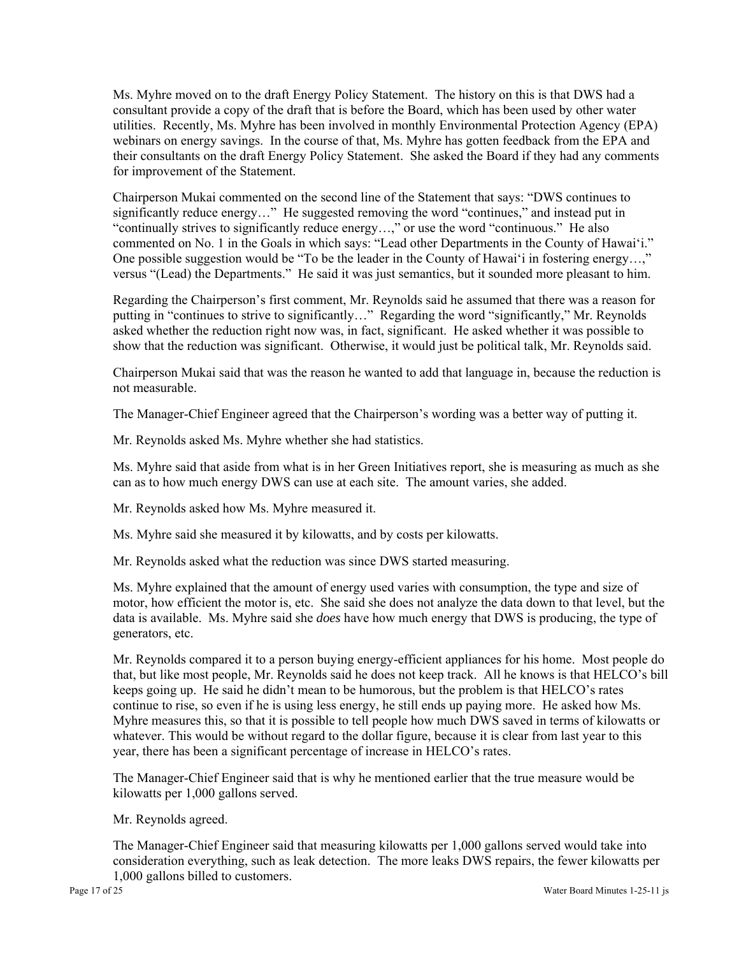Ms. Myhre moved on to the draft Energy Policy Statement. The history on this is that DWS had a consultant provide a copy of the draft that is before the Board, which has been used by other water utilities. Recently, Ms. Myhre has been involved in monthly Environmental Protection Agency (EPA) webinars on energy savings. In the course of that, Ms. Myhre has gotten feedback from the EPA and their consultants on the draft Energy Policy Statement. She asked the Board if they had any comments for improvement of the Statement.

Chairperson Mukai commented on the second line of the Statement that says: "DWS continues to significantly reduce energy…" He suggested removing the word "continues," and instead put in "continually strives to significantly reduce energy...," or use the word "continuous." He also commented on No. 1 in the Goals in which says: "Lead other Departments in the County of Hawai'i." One possible suggestion would be "To be the leader in the County of Hawai'i in fostering energy…," versus "(Lead) the Departments." He said it was just semantics, but it sounded more pleasant to him.

Regarding the Chairperson's first comment, Mr. Reynolds said he assumed that there was a reason for putting in "continues to strive to significantly…" Regarding the word "significantly," Mr. Reynolds asked whether the reduction right now was, in fact, significant. He asked whether it was possible to show that the reduction was significant. Otherwise, it would just be political talk, Mr. Reynolds said.

Chairperson Mukai said that was the reason he wanted to add that language in, because the reduction is not measurable.

The Manager-Chief Engineer agreed that the Chairperson's wording was a better way of putting it.

Mr. Reynolds asked Ms. Myhre whether she had statistics.

Ms. Myhre said that aside from what is in her Green Initiatives report, she is measuring as much as she can as to how much energy DWS can use at each site. The amount varies, she added.

Mr. Reynolds asked how Ms. Myhre measured it.

Ms. Myhre said she measured it by kilowatts, and by costs per kilowatts.

Mr. Reynolds asked what the reduction was since DWS started measuring.

Ms. Myhre explained that the amount of energy used varies with consumption, the type and size of motor, how efficient the motor is, etc. She said she does not analyze the data down to that level, but the data is available. Ms. Myhre said she *does* have how much energy that DWS is producing, the type of generators, etc.

Mr. Reynolds compared it to a person buying energy-efficient appliances for his home. Most people do that, but like most people, Mr. Reynolds said he does not keep track. All he knows is that HELCO's bill keeps going up. He said he didn't mean to be humorous, but the problem is that HELCO's rates continue to rise, so even if he is using less energy, he still ends up paying more. He asked how Ms. Myhre measures this, so that it is possible to tell people how much DWS saved in terms of kilowatts or whatever. This would be without regard to the dollar figure, because it is clear from last year to this year, there has been a significant percentage of increase in HELCO's rates.

The Manager-Chief Engineer said that is why he mentioned earlier that the true measure would be kilowatts per 1,000 gallons served.

Mr. Reynolds agreed.

The Manager-Chief Engineer said that measuring kilowatts per 1,000 gallons served would take into consideration everything, such as leak detection. The more leaks DWS repairs, the fewer kilowatts per 1,000 gallons billed to customers.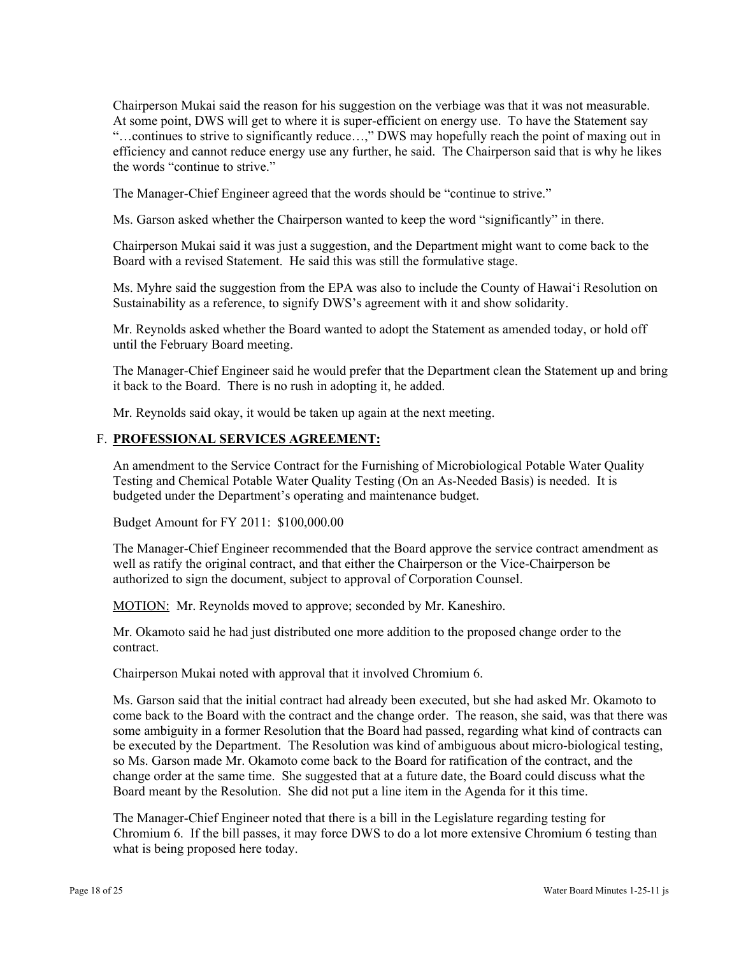Chairperson Mukai said the reason for his suggestion on the verbiage was that it was not measurable. At some point, DWS will get to where it is super-efficient on energy use. To have the Statement say "…continues to strive to significantly reduce…," DWS may hopefully reach the point of maxing out in efficiency and cannot reduce energy use any further, he said. The Chairperson said that is why he likes the words "continue to strive."

The Manager-Chief Engineer agreed that the words should be "continue to strive."

Ms. Garson asked whether the Chairperson wanted to keep the word "significantly" in there.

Chairperson Mukai said it was just a suggestion, and the Department might want to come back to the Board with a revised Statement. He said this was still the formulative stage.

Ms. Myhre said the suggestion from the EPA was also to include the County of Hawai'i Resolution on Sustainability as a reference, to signify DWS's agreement with it and show solidarity.

Mr. Reynolds asked whether the Board wanted to adopt the Statement as amended today, or hold off until the February Board meeting.

The Manager-Chief Engineer said he would prefer that the Department clean the Statement up and bring it back to the Board. There is no rush in adopting it, he added.

Mr. Reynolds said okay, it would be taken up again at the next meeting.

#### F. **PROFESSIONAL SERVICES AGREEMENT:**

An amendment to the Service Contract for the Furnishing of Microbiological Potable Water Quality Testing and Chemical Potable Water Quality Testing (On an As-Needed Basis) is needed. It is budgeted under the Department's operating and maintenance budget.

Budget Amount for FY 2011: \$100,000.00

The Manager-Chief Engineer recommended that the Board approve the service contract amendment as well as ratify the original contract, and that either the Chairperson or the Vice-Chairperson be authorized to sign the document, subject to approval of Corporation Counsel.

MOTION: Mr. Reynolds moved to approve; seconded by Mr. Kaneshiro.

Mr. Okamoto said he had just distributed one more addition to the proposed change order to the contract.

Chairperson Mukai noted with approval that it involved Chromium 6.

Ms. Garson said that the initial contract had already been executed, but she had asked Mr. Okamoto to come back to the Board with the contract and the change order. The reason, she said, was that there was some ambiguity in a former Resolution that the Board had passed, regarding what kind of contracts can be executed by the Department. The Resolution was kind of ambiguous about micro-biological testing, so Ms. Garson made Mr. Okamoto come back to the Board for ratification of the contract, and the change order at the same time. She suggested that at a future date, the Board could discuss what the Board meant by the Resolution. She did not put a line item in the Agenda for it this time.

The Manager-Chief Engineer noted that there is a bill in the Legislature regarding testing for Chromium 6. If the bill passes, it may force DWS to do a lot more extensive Chromium 6 testing than what is being proposed here today.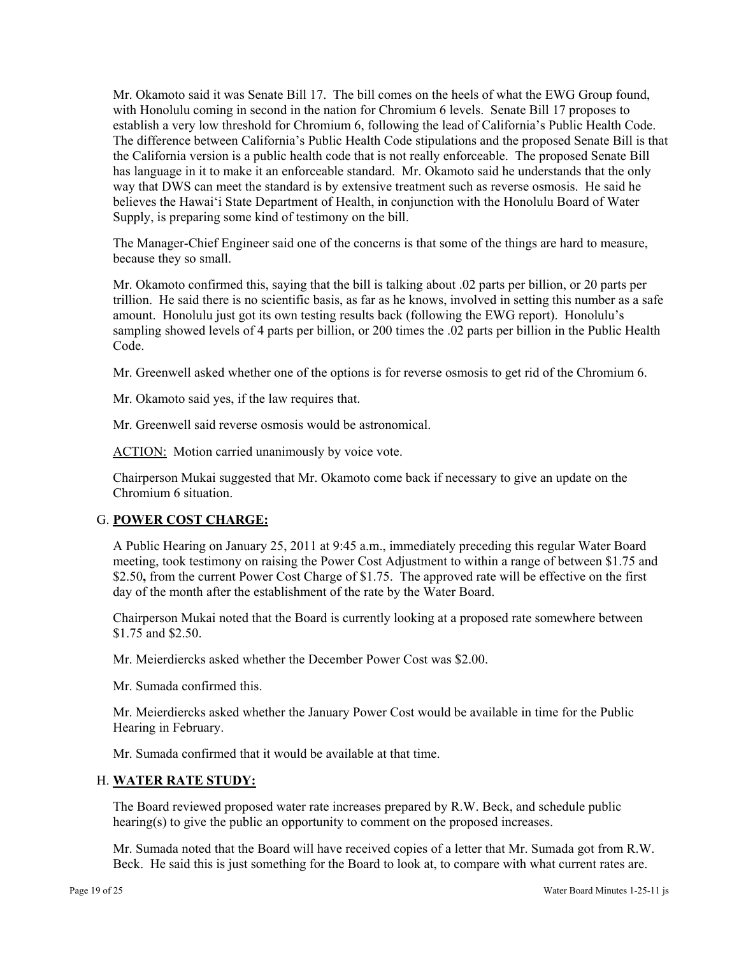Mr. Okamoto said it was Senate Bill 17. The bill comes on the heels of what the EWG Group found, with Honolulu coming in second in the nation for Chromium 6 levels. Senate Bill 17 proposes to establish a very low threshold for Chromium 6, following the lead of California's Public Health Code. The difference between California's Public Health Code stipulations and the proposed Senate Bill is that the California version is a public health code that is not really enforceable. The proposed Senate Bill has language in it to make it an enforceable standard. Mr. Okamoto said he understands that the only way that DWS can meet the standard is by extensive treatment such as reverse osmosis. He said he believes the Hawai'i State Department of Health, in conjunction with the Honolulu Board of Water Supply, is preparing some kind of testimony on the bill.

The Manager-Chief Engineer said one of the concerns is that some of the things are hard to measure, because they so small.

Mr. Okamoto confirmed this, saying that the bill is talking about .02 parts per billion, or 20 parts per trillion. He said there is no scientific basis, as far as he knows, involved in setting this number as a safe amount. Honolulu just got its own testing results back (following the EWG report). Honolulu's sampling showed levels of 4 parts per billion, or 200 times the .02 parts per billion in the Public Health Code.

Mr. Greenwell asked whether one of the options is for reverse osmosis to get rid of the Chromium 6.

Mr. Okamoto said yes, if the law requires that.

Mr. Greenwell said reverse osmosis would be astronomical.

ACTION: Motion carried unanimously by voice vote.

Chairperson Mukai suggested that Mr. Okamoto come back if necessary to give an update on the Chromium 6 situation.

### G. **POWER COST CHARGE:**

A Public Hearing on January 25, 2011 at 9:45 a.m., immediately preceding this regular Water Board meeting, took testimony on raising the Power Cost Adjustment to within a range of between \$1.75 and \$2.50**,** from the current Power Cost Charge of \$1.75. The approved rate will be effective on the first day of the month after the establishment of the rate by the Water Board.

Chairperson Mukai noted that the Board is currently looking at a proposed rate somewhere between \$1.75 and \$2.50.

Mr. Meierdiercks asked whether the December Power Cost was \$2.00.

Mr. Sumada confirmed this.

Mr. Meierdiercks asked whether the January Power Cost would be available in time for the Public Hearing in February.

Mr. Sumada confirmed that it would be available at that time.

### H. **WATER RATE STUDY:**

The Board reviewed proposed water rate increases prepared by R.W. Beck, and schedule public hearing(s) to give the public an opportunity to comment on the proposed increases.

Mr. Sumada noted that the Board will have received copies of a letter that Mr. Sumada got from R.W. Beck. He said this is just something for the Board to look at, to compare with what current rates are.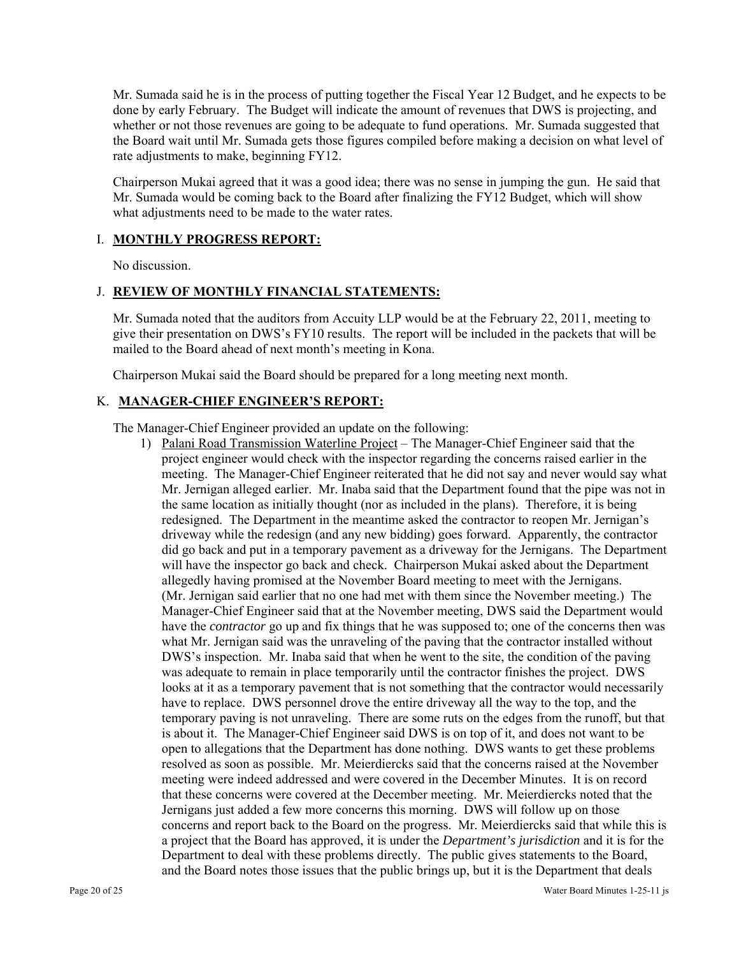Mr. Sumada said he is in the process of putting together the Fiscal Year 12 Budget, and he expects to be done by early February. The Budget will indicate the amount of revenues that DWS is projecting, and whether or not those revenues are going to be adequate to fund operations. Mr. Sumada suggested that the Board wait until Mr. Sumada gets those figures compiled before making a decision on what level of rate adjustments to make, beginning FY12.

Chairperson Mukai agreed that it was a good idea; there was no sense in jumping the gun. He said that Mr. Sumada would be coming back to the Board after finalizing the FY12 Budget, which will show what adjustments need to be made to the water rates.

# I. **MONTHLY PROGRESS REPORT:**

No discussion.

### J. **REVIEW OF MONTHLY FINANCIAL STATEMENTS:**

Mr. Sumada noted that the auditors from Accuity LLP would be at the February 22, 2011, meeting to give their presentation on DWS's FY10 results. The report will be included in the packets that will be mailed to the Board ahead of next month's meeting in Kona.

Chairperson Mukai said the Board should be prepared for a long meeting next month.

# K. **MANAGER-CHIEF ENGINEER'S REPORT:**

The Manager-Chief Engineer provided an update on the following:

1) Palani Road Transmission Waterline Project – The Manager-Chief Engineer said that the project engineer would check with the inspector regarding the concerns raised earlier in the meeting. The Manager-Chief Engineer reiterated that he did not say and never would say what Mr. Jernigan alleged earlier. Mr. Inaba said that the Department found that the pipe was not in the same location as initially thought (nor as included in the plans). Therefore, it is being redesigned. The Department in the meantime asked the contractor to reopen Mr. Jernigan's driveway while the redesign (and any new bidding) goes forward. Apparently, the contractor did go back and put in a temporary pavement as a driveway for the Jernigans. The Department will have the inspector go back and check. Chairperson Mukai asked about the Department allegedly having promised at the November Board meeting to meet with the Jernigans. (Mr. Jernigan said earlier that no one had met with them since the November meeting.) The Manager-Chief Engineer said that at the November meeting, DWS said the Department would have the *contractor* go up and fix things that he was supposed to; one of the concerns then was what Mr. Jernigan said was the unraveling of the paving that the contractor installed without DWS's inspection. Mr. Inaba said that when he went to the site, the condition of the paving was adequate to remain in place temporarily until the contractor finishes the project. DWS looks at it as a temporary pavement that is not something that the contractor would necessarily have to replace. DWS personnel drove the entire driveway all the way to the top, and the temporary paving is not unraveling. There are some ruts on the edges from the runoff, but that is about it. The Manager-Chief Engineer said DWS is on top of it, and does not want to be open to allegations that the Department has done nothing. DWS wants to get these problems resolved as soon as possible. Mr. Meierdiercks said that the concerns raised at the November meeting were indeed addressed and were covered in the December Minutes. It is on record that these concerns were covered at the December meeting. Mr. Meierdiercks noted that the Jernigans just added a few more concerns this morning. DWS will follow up on those concerns and report back to the Board on the progress. Mr. Meierdiercks said that while this is a project that the Board has approved, it is under the *Department's jurisdiction* and it is for the Department to deal with these problems directly. The public gives statements to the Board, and the Board notes those issues that the public brings up, but it is the Department that deals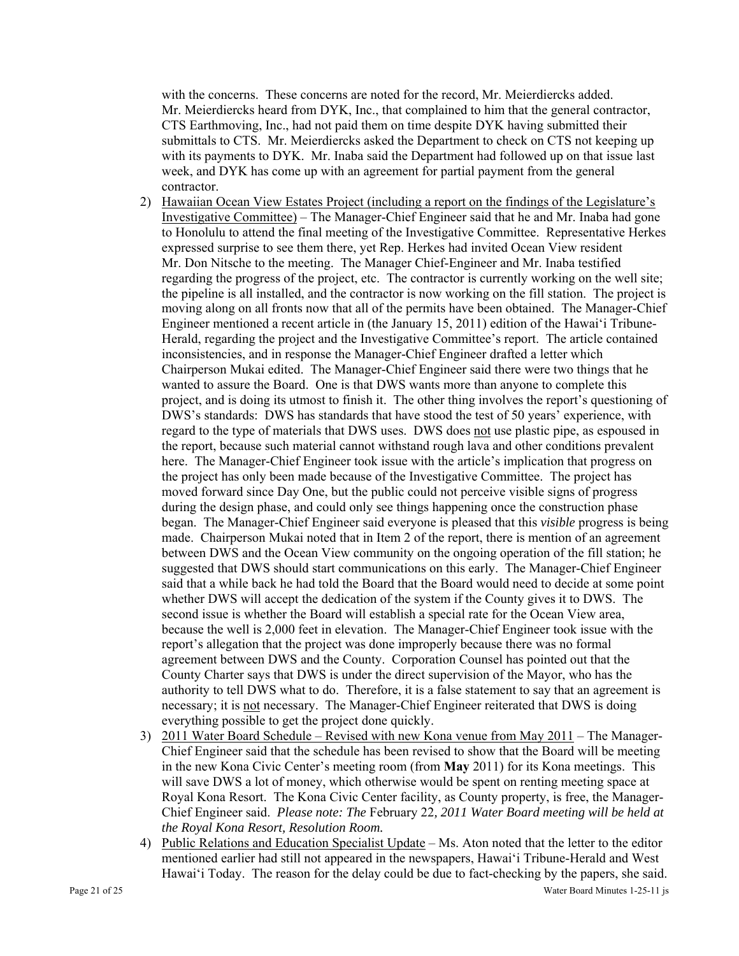with the concerns. These concerns are noted for the record, Mr. Meierdiercks added. Mr. Meierdiercks heard from DYK, Inc., that complained to him that the general contractor, CTS Earthmoving, Inc., had not paid them on time despite DYK having submitted their submittals to CTS. Mr. Meierdiercks asked the Department to check on CTS not keeping up with its payments to DYK. Mr. Inaba said the Department had followed up on that issue last week, and DYK has come up with an agreement for partial payment from the general contractor.

- 2) Hawaiian Ocean View Estates Project (including a report on the findings of the Legislature's Investigative Committee) – The Manager-Chief Engineer said that he and Mr. Inaba had gone to Honolulu to attend the final meeting of the Investigative Committee. Representative Herkes expressed surprise to see them there, yet Rep. Herkes had invited Ocean View resident Mr. Don Nitsche to the meeting. The Manager Chief-Engineer and Mr. Inaba testified regarding the progress of the project, etc. The contractor is currently working on the well site; the pipeline is all installed, and the contractor is now working on the fill station. The project is moving along on all fronts now that all of the permits have been obtained. The Manager-Chief Engineer mentioned a recent article in (the January 15, 2011) edition of the Hawai'i Tribune-Herald, regarding the project and the Investigative Committee's report. The article contained inconsistencies, and in response the Manager-Chief Engineer drafted a letter which Chairperson Mukai edited. The Manager-Chief Engineer said there were two things that he wanted to assure the Board. One is that DWS wants more than anyone to complete this project, and is doing its utmost to finish it. The other thing involves the report's questioning of DWS's standards: DWS has standards that have stood the test of 50 years' experience, with regard to the type of materials that DWS uses. DWS does not use plastic pipe, as espoused in the report, because such material cannot withstand rough lava and other conditions prevalent here. The Manager-Chief Engineer took issue with the article's implication that progress on the project has only been made because of the Investigative Committee. The project has moved forward since Day One, but the public could not perceive visible signs of progress during the design phase, and could only see things happening once the construction phase began. The Manager-Chief Engineer said everyone is pleased that this *visible* progress is being made. Chairperson Mukai noted that in Item 2 of the report, there is mention of an agreement between DWS and the Ocean View community on the ongoing operation of the fill station; he suggested that DWS should start communications on this early. The Manager-Chief Engineer said that a while back he had told the Board that the Board would need to decide at some point whether DWS will accept the dedication of the system if the County gives it to DWS. The second issue is whether the Board will establish a special rate for the Ocean View area, because the well is 2,000 feet in elevation. The Manager-Chief Engineer took issue with the report's allegation that the project was done improperly because there was no formal agreement between DWS and the County. Corporation Counsel has pointed out that the County Charter says that DWS is under the direct supervision of the Mayor, who has the authority to tell DWS what to do. Therefore, it is a false statement to say that an agreement is necessary; it is not necessary. The Manager-Chief Engineer reiterated that DWS is doing everything possible to get the project done quickly.
- 3) 2011 Water Board Schedule Revised with new Kona venue from May 2011 The Manager-Chief Engineer said that the schedule has been revised to show that the Board will be meeting in the new Kona Civic Center's meeting room (from **May** 2011) for its Kona meetings. This will save DWS a lot of money, which otherwise would be spent on renting meeting space at Royal Kona Resort. The Kona Civic Center facility, as County property, is free, the Manager-Chief Engineer said. *Please note: The* February 22*, 2011 Water Board meeting will be held at the Royal Kona Resort, Resolution Room.*
- 4) Public Relations and Education Specialist Update Ms. Aton noted that the letter to the editor mentioned earlier had still not appeared in the newspapers, Hawai'i Tribune-Herald and West Hawai'i Today. The reason for the delay could be due to fact-checking by the papers, she said.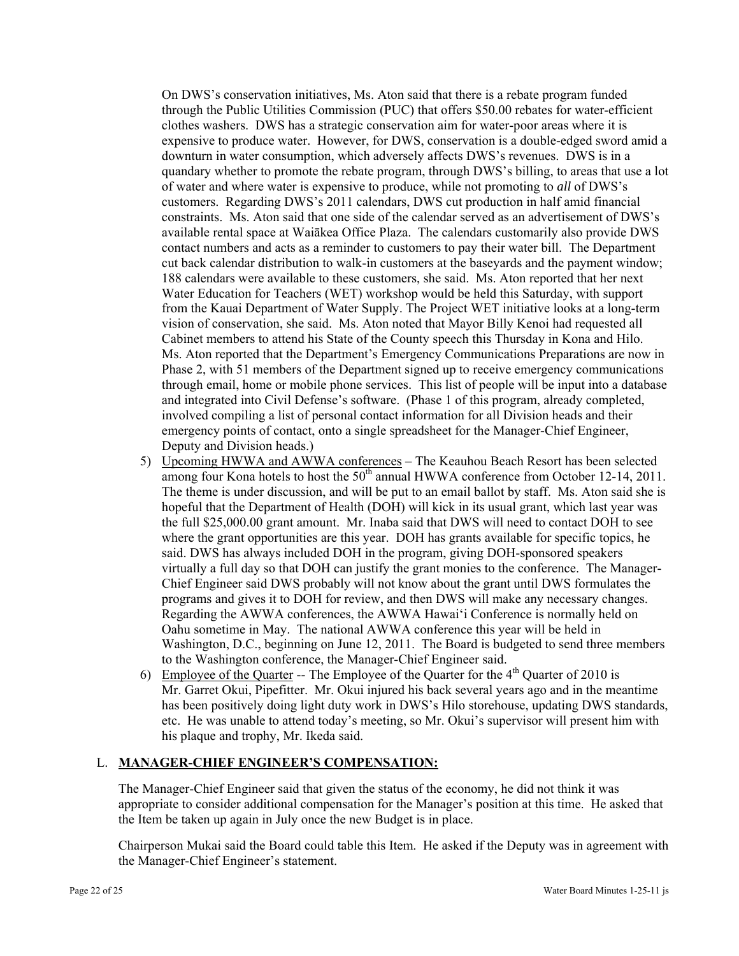On DWS's conservation initiatives, Ms. Aton said that there is a rebate program funded through the Public Utilities Commission (PUC) that offers \$50.00 rebates for water-efficient clothes washers. DWS has a strategic conservation aim for water-poor areas where it is expensive to produce water. However, for DWS, conservation is a double-edged sword amid a downturn in water consumption, which adversely affects DWS's revenues. DWS is in a quandary whether to promote the rebate program, through DWS's billing, to areas that use a lot of water and where water is expensive to produce, while not promoting to *all* of DWS's customers. Regarding DWS's 2011 calendars, DWS cut production in half amid financial constraints. Ms. Aton said that one side of the calendar served as an advertisement of DWS's available rental space at Waiākea Office Plaza. The calendars customarily also provide DWS contact numbers and acts as a reminder to customers to pay their water bill. The Department cut back calendar distribution to walk-in customers at the baseyards and the payment window; 188 calendars were available to these customers, she said. Ms. Aton reported that her next Water Education for Teachers (WET) workshop would be held this Saturday, with support from the Kauai Department of Water Supply. The Project WET initiative looks at a long-term vision of conservation, she said. Ms. Aton noted that Mayor Billy Kenoi had requested all Cabinet members to attend his State of the County speech this Thursday in Kona and Hilo. Ms. Aton reported that the Department's Emergency Communications Preparations are now in Phase 2, with 51 members of the Department signed up to receive emergency communications through email, home or mobile phone services. This list of people will be input into a database and integrated into Civil Defense's software. (Phase 1 of this program, already completed, involved compiling a list of personal contact information for all Division heads and their emergency points of contact, onto a single spreadsheet for the Manager-Chief Engineer, Deputy and Division heads.)

- 5) Upcoming HWWA and AWWA conferences The Keauhou Beach Resort has been selected among four Kona hotels to host the  $50<sup>th</sup>$  annual HWWA conference from October 12-14, 2011. The theme is under discussion, and will be put to an email ballot by staff. Ms. Aton said she is hopeful that the Department of Health (DOH) will kick in its usual grant, which last year was the full \$25,000.00 grant amount. Mr. Inaba said that DWS will need to contact DOH to see where the grant opportunities are this year. DOH has grants available for specific topics, he said. DWS has always included DOH in the program, giving DOH-sponsored speakers virtually a full day so that DOH can justify the grant monies to the conference. The Manager-Chief Engineer said DWS probably will not know about the grant until DWS formulates the programs and gives it to DOH for review, and then DWS will make any necessary changes. Regarding the AWWA conferences, the AWWA Hawai'i Conference is normally held on Oahu sometime in May. The national AWWA conference this year will be held in Washington, D.C., beginning on June 12, 2011. The Board is budgeted to send three members to the Washington conference, the Manager-Chief Engineer said.
- 6) Employee of the Quarter -- The Employee of the Quarter for the  $4<sup>th</sup>$  Quarter of 2010 is Mr. Garret Okui, Pipefitter. Mr. Okui injured his back several years ago and in the meantime has been positively doing light duty work in DWS's Hilo storehouse, updating DWS standards, etc. He was unable to attend today's meeting, so Mr. Okui's supervisor will present him with his plaque and trophy, Mr. Ikeda said.

# L. **MANAGER-CHIEF ENGINEER'S COMPENSATION:**

The Manager-Chief Engineer said that given the status of the economy, he did not think it was appropriate to consider additional compensation for the Manager's position at this time. He asked that the Item be taken up again in July once the new Budget is in place.

Chairperson Mukai said the Board could table this Item. He asked if the Deputy was in agreement with the Manager-Chief Engineer's statement.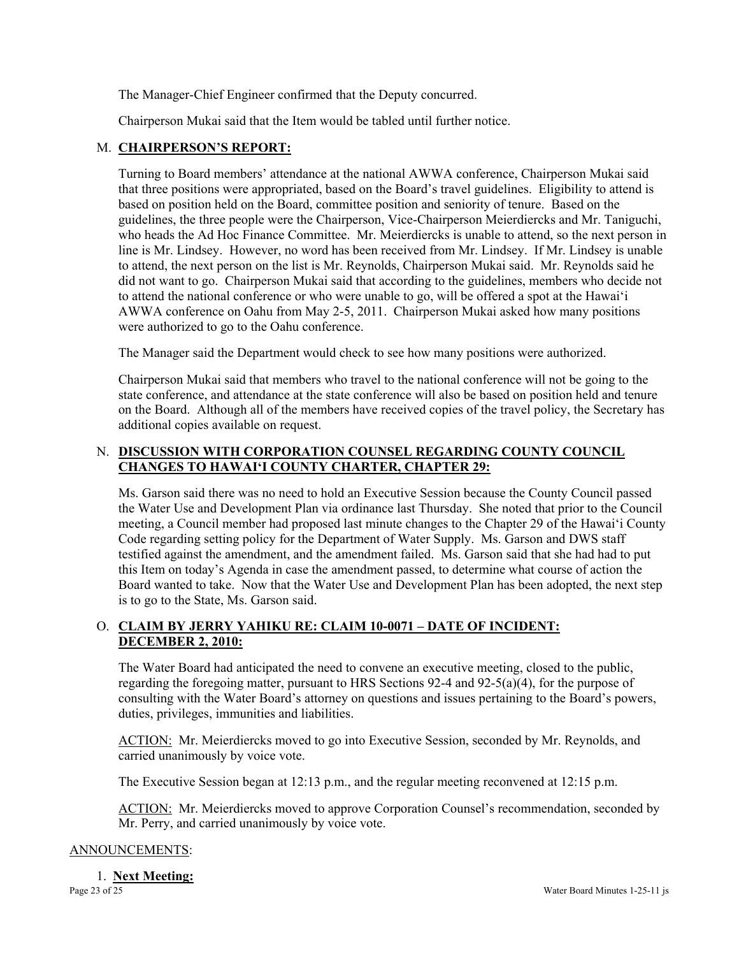The Manager-Chief Engineer confirmed that the Deputy concurred.

Chairperson Mukai said that the Item would be tabled until further notice.

### M. **CHAIRPERSON'S REPORT:**

Turning to Board members' attendance at the national AWWA conference, Chairperson Mukai said that three positions were appropriated, based on the Board's travel guidelines. Eligibility to attend is based on position held on the Board, committee position and seniority of tenure. Based on the guidelines, the three people were the Chairperson, Vice-Chairperson Meierdiercks and Mr. Taniguchi, who heads the Ad Hoc Finance Committee. Mr. Meierdiercks is unable to attend, so the next person in line is Mr. Lindsey. However, no word has been received from Mr. Lindsey. If Mr. Lindsey is unable to attend, the next person on the list is Mr. Reynolds, Chairperson Mukai said. Mr. Reynolds said he did not want to go. Chairperson Mukai said that according to the guidelines, members who decide not to attend the national conference or who were unable to go, will be offered a spot at the Hawai'i AWWA conference on Oahu from May 2-5, 2011. Chairperson Mukai asked how many positions were authorized to go to the Oahu conference.

The Manager said the Department would check to see how many positions were authorized.

Chairperson Mukai said that members who travel to the national conference will not be going to the state conference, and attendance at the state conference will also be based on position held and tenure on the Board. Although all of the members have received copies of the travel policy, the Secretary has additional copies available on request.

# N. **DISCUSSION WITH CORPORATION COUNSEL REGARDING COUNTY COUNCIL CHANGES TO HAWAI'I COUNTY CHARTER, CHAPTER 29:**

Ms. Garson said there was no need to hold an Executive Session because the County Council passed the Water Use and Development Plan via ordinance last Thursday. She noted that prior to the Council meeting, a Council member had proposed last minute changes to the Chapter 29 of the Hawai'i County Code regarding setting policy for the Department of Water Supply. Ms. Garson and DWS staff testified against the amendment, and the amendment failed. Ms. Garson said that she had had to put this Item on today's Agenda in case the amendment passed, to determine what course of action the Board wanted to take. Now that the Water Use and Development Plan has been adopted, the next step is to go to the State, Ms. Garson said.

# O. **CLAIM BY JERRY YAHIKU RE: CLAIM 10-0071 – DATE OF INCIDENT: DECEMBER 2, 2010:**

The Water Board had anticipated the need to convene an executive meeting, closed to the public, regarding the foregoing matter, pursuant to HRS Sections 92-4 and 92-5(a)(4), for the purpose of consulting with the Water Board's attorney on questions and issues pertaining to the Board's powers, duties, privileges, immunities and liabilities.

ACTION: Mr. Meierdiercks moved to go into Executive Session, seconded by Mr. Reynolds, and carried unanimously by voice vote.

The Executive Session began at 12:13 p.m., and the regular meeting reconvened at 12:15 p.m.

ACTION: Mr. Meierdiercks moved to approve Corporation Counsel's recommendation, seconded by Mr. Perry, and carried unanimously by voice vote.

#### ANNOUNCEMENTS:

Page 23 of 25 Water Board Minutes 1-25-11 js 1. **Next Meeting:**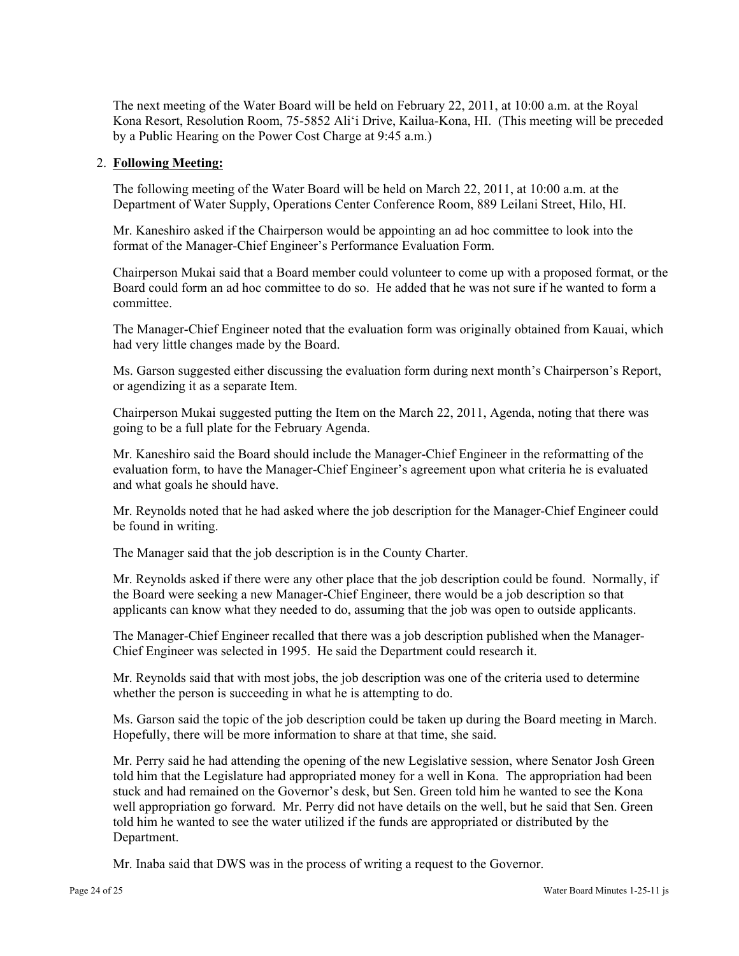The next meeting of the Water Board will be held on February 22, 2011, at 10:00 a.m. at the Royal Kona Resort, Resolution Room, 75-5852 Ali'i Drive, Kailua-Kona, HI. (This meeting will be preceded by a Public Hearing on the Power Cost Charge at 9:45 a.m.)

### 2. **Following Meeting:**

The following meeting of the Water Board will be held on March 22, 2011, at 10:00 a.m. at the Department of Water Supply, Operations Center Conference Room, 889 Leilani Street, Hilo, HI.

Mr. Kaneshiro asked if the Chairperson would be appointing an ad hoc committee to look into the format of the Manager-Chief Engineer's Performance Evaluation Form.

Chairperson Mukai said that a Board member could volunteer to come up with a proposed format, or the Board could form an ad hoc committee to do so. He added that he was not sure if he wanted to form a committee.

The Manager-Chief Engineer noted that the evaluation form was originally obtained from Kauai, which had very little changes made by the Board.

Ms. Garson suggested either discussing the evaluation form during next month's Chairperson's Report, or agendizing it as a separate Item.

Chairperson Mukai suggested putting the Item on the March 22, 2011, Agenda, noting that there was going to be a full plate for the February Agenda.

Mr. Kaneshiro said the Board should include the Manager-Chief Engineer in the reformatting of the evaluation form, to have the Manager-Chief Engineer's agreement upon what criteria he is evaluated and what goals he should have.

Mr. Reynolds noted that he had asked where the job description for the Manager-Chief Engineer could be found in writing.

The Manager said that the job description is in the County Charter.

Mr. Reynolds asked if there were any other place that the job description could be found. Normally, if the Board were seeking a new Manager-Chief Engineer, there would be a job description so that applicants can know what they needed to do, assuming that the job was open to outside applicants.

The Manager-Chief Engineer recalled that there was a job description published when the Manager-Chief Engineer was selected in 1995. He said the Department could research it.

Mr. Reynolds said that with most jobs, the job description was one of the criteria used to determine whether the person is succeeding in what he is attempting to do.

Ms. Garson said the topic of the job description could be taken up during the Board meeting in March. Hopefully, there will be more information to share at that time, she said.

Mr. Perry said he had attending the opening of the new Legislative session, where Senator Josh Green told him that the Legislature had appropriated money for a well in Kona. The appropriation had been stuck and had remained on the Governor's desk, but Sen. Green told him he wanted to see the Kona well appropriation go forward. Mr. Perry did not have details on the well, but he said that Sen. Green told him he wanted to see the water utilized if the funds are appropriated or distributed by the Department.

Mr. Inaba said that DWS was in the process of writing a request to the Governor.